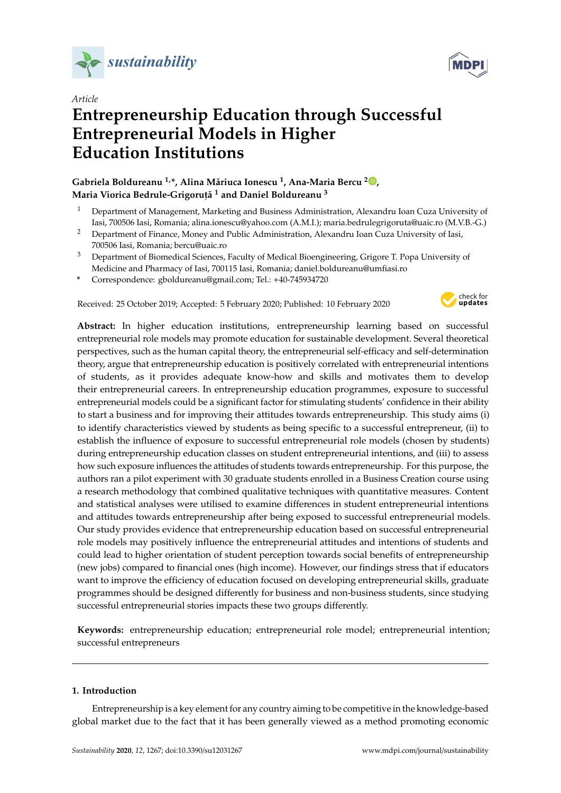



# *Article* **Entrepreneurship Education through Successful Entrepreneurial Models in Higher Education Institutions**

# **Gabriela Boldureanu 1,\*, Alina Măriuca Ionescu <sup>1</sup> , Ana-Maria Bercu <sup>2</sup> [,](https://orcid.org/0000-0001-8954-8520) Maria Viorica Bedrule-Grigorut,ă <sup>1</sup> and Daniel Boldureanu <sup>3</sup>**

- <sup>1</sup> Department of Management, Marketing and Business Administration, Alexandru Ioan Cuza University of Iasi, 700506 Iasi, Romania; alina.ionescu@yahoo.com (A.M.I.); maria.bedrulegrigoruta@uaic.ro (M.V.B.-G.)
- <sup>2</sup> Department of Finance, Money and Public Administration, Alexandru Ioan Cuza University of Iasi, 700506 Iasi, Romania; bercu@uaic.ro
- <sup>3</sup> Department of Biomedical Sciences, Faculty of Medical Bioengineering, Grigore T. Popa University of Medicine and Pharmacy of Iasi, 700115 Iasi, Romania; daniel.boldureanu@umfiasi.ro
- **\*** Correspondence: gboldureanu@gmail.com; Tel.: +40-745934720

Received: 25 October 2019; Accepted: 5 February 2020; Published: 10 February 2020



**Abstract:** In higher education institutions, entrepreneurship learning based on successful entrepreneurial role models may promote education for sustainable development. Several theoretical perspectives, such as the human capital theory, the entrepreneurial self-efficacy and self-determination theory, argue that entrepreneurship education is positively correlated with entrepreneurial intentions of students, as it provides adequate know-how and skills and motivates them to develop their entrepreneurial careers. In entrepreneurship education programmes, exposure to successful entrepreneurial models could be a significant factor for stimulating students' confidence in their ability to start a business and for improving their attitudes towards entrepreneurship. This study aims (i) to identify characteristics viewed by students as being specific to a successful entrepreneur, (ii) to establish the influence of exposure to successful entrepreneurial role models (chosen by students) during entrepreneurship education classes on student entrepreneurial intentions, and (iii) to assess how such exposure influences the attitudes of students towards entrepreneurship. For this purpose, the authors ran a pilot experiment with 30 graduate students enrolled in a Business Creation course using a research methodology that combined qualitative techniques with quantitative measures. Content and statistical analyses were utilised to examine differences in student entrepreneurial intentions and attitudes towards entrepreneurship after being exposed to successful entrepreneurial models. Our study provides evidence that entrepreneurship education based on successful entrepreneurial role models may positively influence the entrepreneurial attitudes and intentions of students and could lead to higher orientation of student perception towards social benefits of entrepreneurship (new jobs) compared to financial ones (high income). However, our findings stress that if educators want to improve the efficiency of education focused on developing entrepreneurial skills, graduate programmes should be designed differently for business and non-business students, since studying successful entrepreneurial stories impacts these two groups differently.

**Keywords:** entrepreneurship education; entrepreneurial role model; entrepreneurial intention; successful entrepreneurs

#### **1. Introduction**

Entrepreneurship is a key element for any country aiming to be competitive in the knowledge-based global market due to the fact that it has been generally viewed as a method promoting economic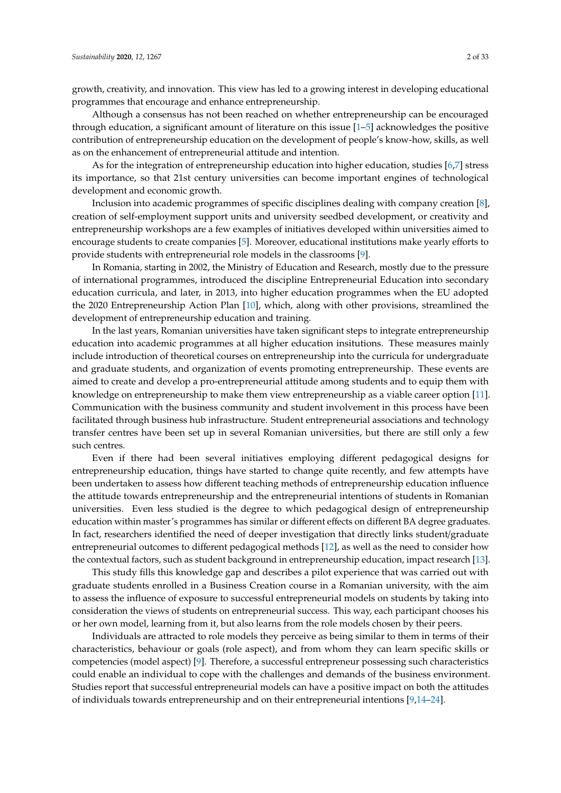growth, creativity, and innovation. This view has led to a growing interest in developing educational programmes that encourage and enhance entrepreneurship.

Although a consensus has not been reached on whether entrepreneurship can be encouraged through education, a significant amount of literature on this issue [\[1](#page-28-0)[–5\]](#page-28-1) acknowledges the positive contribution of entrepreneurship education on the development of people's know-how, skills, as well as on the enhancement of entrepreneurial attitude and intention.

As for the integration of entrepreneurship education into higher education, studies [\[6](#page-28-2)[,7\]](#page-28-3) stress its importance, so that 21st century universities can become important engines of technological development and economic growth.

Inclusion into academic programmes of specific disciplines dealing with company creation [\[8\]](#page-28-4), creation of self-employment support units and university seedbed development, or creativity and entrepreneurship workshops are a few examples of initiatives developed within universities aimed to encourage students to create companies [\[5\]](#page-28-1). Moreover, educational institutions make yearly efforts to provide students with entrepreneurial role models in the classrooms [\[9\]](#page-28-5).

In Romania, starting in 2002, the Ministry of Education and Research, mostly due to the pressure of international programmes, introduced the discipline Entrepreneurial Education into secondary education curricula, and later, in 2013, into higher education programmes when the EU adopted the 2020 Entrepreneurship Action Plan [\[10\]](#page-28-6), which, along with other provisions, streamlined the development of entrepreneurship education and training.

In the last years, Romanian universities have taken significant steps to integrate entrepreneurship education into academic programmes at all higher education insitutions. These measures mainly include introduction of theoretical courses on entrepreneurship into the curricula for undergraduate and graduate students, and organization of events promoting entrepreneurship. These events are aimed to create and develop a pro-entrepreneurial attitude among students and to equip them with knowledge on entrepreneurship to make them view entrepreneurship as a viable career option [\[11\]](#page-28-7). Communication with the business community and student involvement in this process have been facilitated through business hub infrastructure. Student entrepreneurial associations and technology transfer centres have been set up in several Romanian universities, but there are still only a few such centres.

Even if there had been several initiatives employing different pedagogical designs for entrepreneurship education, things have started to change quite recently, and few attempts have been undertaken to assess how different teaching methods of entrepreneurship education influence the attitude towards entrepreneurship and the entrepreneurial intentions of students in Romanian universities. Even less studied is the degree to which pedagogical design of entrepreneurship education within master's programmes has similar or different effects on different BA degree graduates. In fact, researchers identified the need of deeper investigation that directly links student/graduate entrepreneurial outcomes to different pedagogical methods [\[12\]](#page-28-8), as well as the need to consider how the contextual factors, such as student background in entrepreneurship education, impact research [\[13\]](#page-28-9).

This study fills this knowledge gap and describes a pilot experience that was carried out with graduate students enrolled in a Business Creation course in a Romanian university, with the aim to assess the influence of exposure to successful entrepreneurial models on students by taking into consideration the views of students on entrepreneurial success. This way, each participant chooses his or her own model, learning from it, but also learns from the role models chosen by their peers.

Individuals are attracted to role models they perceive as being similar to them in terms of their characteristics, behaviour or goals (role aspect), and from whom they can learn specific skills or competencies (model aspect) [\[9\]](#page-28-5). Therefore, a successful entrepreneur possessing such characteristics could enable an individual to cope with the challenges and demands of the business environment. Studies report that successful entrepreneurial models can have a positive impact on both the attitudes of individuals towards entrepreneurship and on their entrepreneurial intentions [\[9,](#page-28-5)[14](#page-28-10)[–24\]](#page-28-11).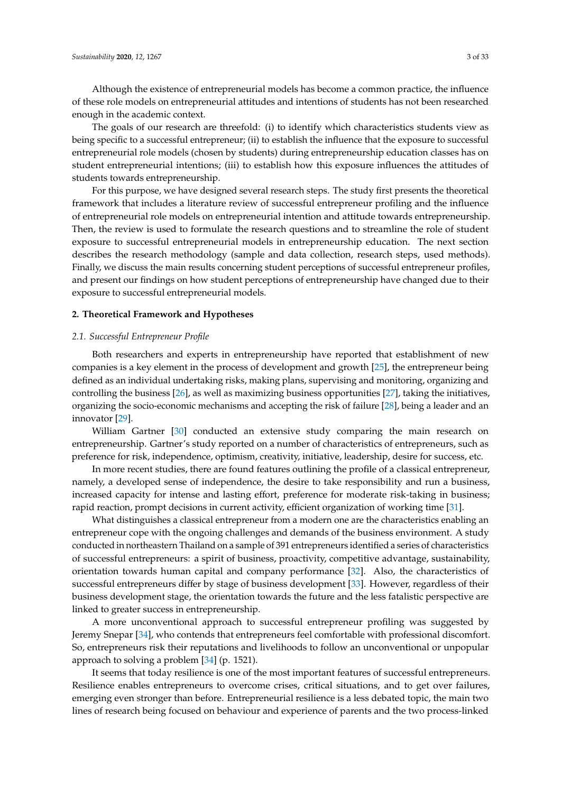Although the existence of entrepreneurial models has become a common practice, the influence of these role models on entrepreneurial attitudes and intentions of students has not been researched enough in the academic context.

The goals of our research are threefold: (i) to identify which characteristics students view as being specific to a successful entrepreneur; (ii) to establish the influence that the exposure to successful entrepreneurial role models (chosen by students) during entrepreneurship education classes has on student entrepreneurial intentions; (iii) to establish how this exposure influences the attitudes of students towards entrepreneurship.

For this purpose, we have designed several research steps. The study first presents the theoretical framework that includes a literature review of successful entrepreneur profiling and the influence of entrepreneurial role models on entrepreneurial intention and attitude towards entrepreneurship. Then, the review is used to formulate the research questions and to streamline the role of student exposure to successful entrepreneurial models in entrepreneurship education. The next section describes the research methodology (sample and data collection, research steps, used methods). Finally, we discuss the main results concerning student perceptions of successful entrepreneur profiles, and present our findings on how student perceptions of entrepreneurship have changed due to their exposure to successful entrepreneurial models.

#### **2. Theoretical Framework and Hypotheses**

#### *2.1. Successful Entrepreneur Profile*

Both researchers and experts in entrepreneurship have reported that establishment of new companies is a key element in the process of development and growth [\[25\]](#page-28-12), the entrepreneur being defined as an individual undertaking risks, making plans, supervising and monitoring, organizing and controlling the business [\[26\]](#page-29-0), as well as maximizing business opportunities [\[27\]](#page-29-1), taking the initiatives, organizing the socio-economic mechanisms and accepting the risk of failure [\[28\]](#page-29-2), being a leader and an innovator [\[29\]](#page-29-3).

William Gartner [\[30\]](#page-29-4) conducted an extensive study comparing the main research on entrepreneurship. Gartner's study reported on a number of characteristics of entrepreneurs, such as preference for risk, independence, optimism, creativity, initiative, leadership, desire for success, etc.

In more recent studies, there are found features outlining the profile of a classical entrepreneur, namely, a developed sense of independence, the desire to take responsibility and run a business, increased capacity for intense and lasting effort, preference for moderate risk-taking in business; rapid reaction, prompt decisions in current activity, efficient organization of working time [\[31\]](#page-29-5).

What distinguishes a classical entrepreneur from a modern one are the characteristics enabling an entrepreneur cope with the ongoing challenges and demands of the business environment. A study conducted in northeastern Thailand on a sample of 391 entrepreneurs identified a series of characteristics of successful entrepreneurs: a spirit of business, proactivity, competitive advantage, sustainability, orientation towards human capital and company performance [\[32\]](#page-29-6). Also, the characteristics of successful entrepreneurs differ by stage of business development [\[33\]](#page-29-7). However, regardless of their business development stage, the orientation towards the future and the less fatalistic perspective are linked to greater success in entrepreneurship.

A more unconventional approach to successful entrepreneur profiling was suggested by Jeremy Snepar [\[34\]](#page-29-8), who contends that entrepreneurs feel comfortable with professional discomfort. So, entrepreneurs risk their reputations and livelihoods to follow an unconventional or unpopular approach to solving a problem [\[34\]](#page-29-8) (p. 1521).

It seems that today resilience is one of the most important features of successful entrepreneurs. Resilience enables entrepreneurs to overcome crises, critical situations, and to get over failures, emerging even stronger than before. Entrepreneurial resilience is a less debated topic, the main two lines of research being focused on behaviour and experience of parents and the two process-linked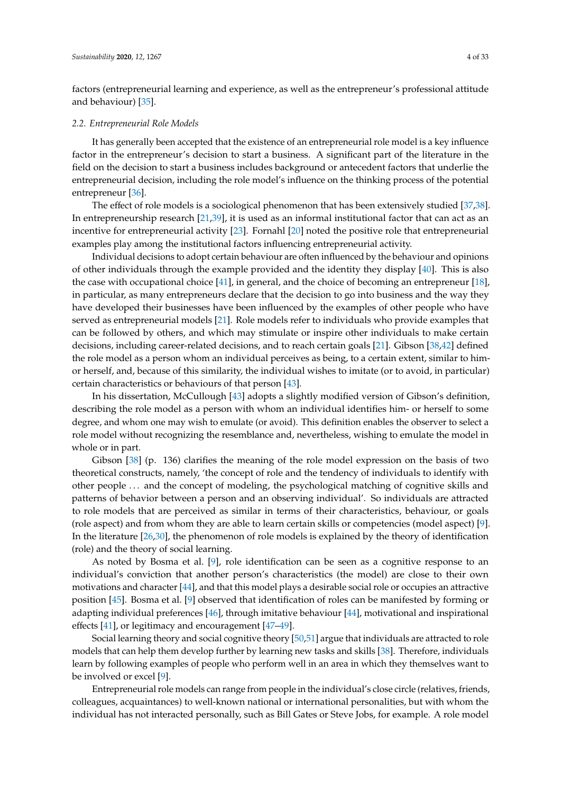factors (entrepreneurial learning and experience, as well as the entrepreneur's professional attitude and behaviour) [\[35\]](#page-29-9).

#### *2.2. Entrepreneurial Role Models*

It has generally been accepted that the existence of an entrepreneurial role model is a key influence factor in the entrepreneur's decision to start a business. A significant part of the literature in the field on the decision to start a business includes background or antecedent factors that underlie the entrepreneurial decision, including the role model's influence on the thinking process of the potential entrepreneur [\[36\]](#page-29-10).

The effect of role models is a sociological phenomenon that has been extensively studied [\[37,](#page-29-11)[38\]](#page-29-12). In entrepreneurship research [\[21,](#page-28-13)[39\]](#page-29-13), it is used as an informal institutional factor that can act as an incentive for entrepreneurial activity [\[23\]](#page-28-14). Fornahl [\[20\]](#page-28-15) noted the positive role that entrepreneurial examples play among the institutional factors influencing entrepreneurial activity.

Individual decisions to adopt certain behaviour are often influenced by the behaviour and opinions of other individuals through the example provided and the identity they display [\[40\]](#page-29-14). This is also the case with occupational choice [\[41\]](#page-29-15), in general, and the choice of becoming an entrepreneur [\[18\]](#page-28-16), in particular, as many entrepreneurs declare that the decision to go into business and the way they have developed their businesses have been influenced by the examples of other people who have served as entrepreneurial models [\[21\]](#page-28-13). Role models refer to individuals who provide examples that can be followed by others, and which may stimulate or inspire other individuals to make certain decisions, including career-related decisions, and to reach certain goals [\[21\]](#page-28-13). Gibson [\[38,](#page-29-12)[42\]](#page-29-16) defined the role model as a person whom an individual perceives as being, to a certain extent, similar to himor herself, and, because of this similarity, the individual wishes to imitate (or to avoid, in particular) certain characteristics or behaviours of that person [\[43\]](#page-29-17).

In his dissertation, McCullough [\[43\]](#page-29-17) adopts a slightly modified version of Gibson's definition, describing the role model as a person with whom an individual identifies him- or herself to some degree, and whom one may wish to emulate (or avoid). This definition enables the observer to select a role model without recognizing the resemblance and, nevertheless, wishing to emulate the model in whole or in part.

Gibson [\[38\]](#page-29-12) (p. 136) clarifies the meaning of the role model expression on the basis of two theoretical constructs, namely, 'the concept of role and the tendency of individuals to identify with other people . . . and the concept of modeling, the psychological matching of cognitive skills and patterns of behavior between a person and an observing individual'. So individuals are attracted to role models that are perceived as similar in terms of their characteristics, behaviour, or goals (role aspect) and from whom they are able to learn certain skills or competencies (model aspect) [\[9\]](#page-28-5). In the literature [\[26](#page-29-0)[,30\]](#page-29-4), the phenomenon of role models is explained by the theory of identification (role) and the theory of social learning.

As noted by Bosma et al.  $[9]$ , role identification can be seen as a cognitive response to an individual's conviction that another person's characteristics (the model) are close to their own motivations and character [\[44\]](#page-29-18), and that this model plays a desirable social role or occupies an attractive position [\[45\]](#page-29-19). Bosma et al. [\[9\]](#page-28-5) observed that identification of roles can be manifested by forming or adapting individual preferences [\[46\]](#page-29-20), through imitative behaviour [\[44\]](#page-29-18), motivational and inspirational effects [\[41\]](#page-29-15), or legitimacy and encouragement [\[47–](#page-29-21)[49\]](#page-29-22).

Social learning theory and social cognitive theory [\[50,](#page-29-23)[51\]](#page-29-24) argue that individuals are attracted to role models that can help them develop further by learning new tasks and skills [\[38\]](#page-29-12). Therefore, individuals learn by following examples of people who perform well in an area in which they themselves want to be involved or excel [\[9\]](#page-28-5).

Entrepreneurial role models can range from people in the individual's close circle (relatives, friends, colleagues, acquaintances) to well-known national or international personalities, but with whom the individual has not interacted personally, such as Bill Gates or Steve Jobs, for example. A role model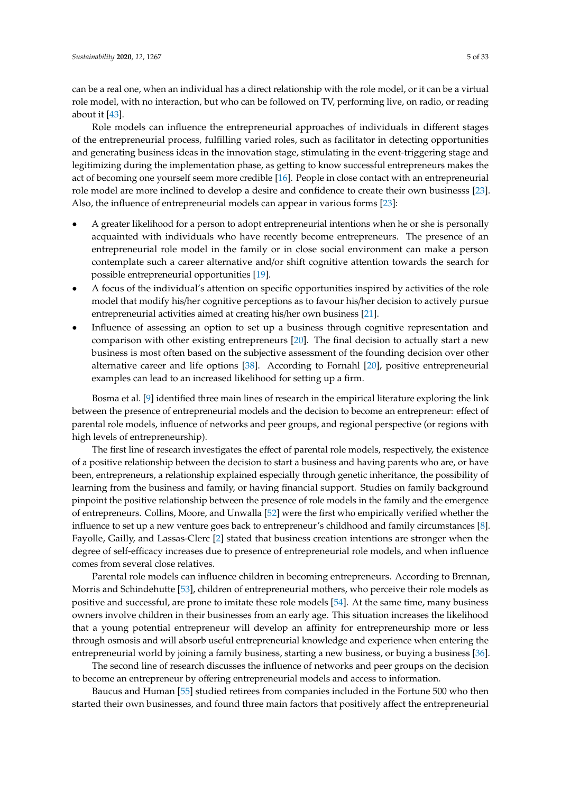can be a real one, when an individual has a direct relationship with the role model, or it can be a virtual role model, with no interaction, but who can be followed on TV, performing live, on radio, or reading about it [\[43\]](#page-29-17).

Role models can influence the entrepreneurial approaches of individuals in different stages of the entrepreneurial process, fulfilling varied roles, such as facilitator in detecting opportunities and generating business ideas in the innovation stage, stimulating in the event-triggering stage and legitimizing during the implementation phase, as getting to know successful entrepreneurs makes the act of becoming one yourself seem more credible [\[16\]](#page-28-17). People in close contact with an entrepreneurial role model are more inclined to develop a desire and confidence to create their own businesss [\[23\]](#page-28-14). Also, the influence of entrepreneurial models can appear in various forms [\[23\]](#page-28-14):

- A greater likelihood for a person to adopt entrepreneurial intentions when he or she is personally acquainted with individuals who have recently become entrepreneurs. The presence of an entrepreneurial role model in the family or in close social environment can make a person contemplate such a career alternative and/or shift cognitive attention towards the search for possible entrepreneurial opportunities [\[19\]](#page-28-18).
- A focus of the individual's attention on specific opportunities inspired by activities of the role model that modify his/her cognitive perceptions as to favour his/her decision to actively pursue entrepreneurial activities aimed at creating his/her own business [\[21\]](#page-28-13).
- Influence of assessing an option to set up a business through cognitive representation and comparison with other existing entrepreneurs [\[20\]](#page-28-15). The final decision to actually start a new business is most often based on the subjective assessment of the founding decision over other alternative career and life options [\[38\]](#page-29-12). According to Fornahl [\[20\]](#page-28-15), positive entrepreneurial examples can lead to an increased likelihood for setting up a firm.

Bosma et al. [\[9\]](#page-28-5) identified three main lines of research in the empirical literature exploring the link between the presence of entrepreneurial models and the decision to become an entrepreneur: effect of parental role models, influence of networks and peer groups, and regional perspective (or regions with high levels of entrepreneurship).

The first line of research investigates the effect of parental role models, respectively, the existence of a positive relationship between the decision to start a business and having parents who are, or have been, entrepreneurs, a relationship explained especially through genetic inheritance, the possibility of learning from the business and family, or having financial support. Studies on family background pinpoint the positive relationship between the presence of role models in the family and the emergence of entrepreneurs. Collins, Moore, and Unwalla [\[52\]](#page-29-25) were the first who empirically verified whether the influence to set up a new venture goes back to entrepreneur's childhood and family circumstances [\[8\]](#page-28-4). Fayolle, Gailly, and Lassas-Clerc [\[2\]](#page-28-19) stated that business creation intentions are stronger when the degree of self-efficacy increases due to presence of entrepreneurial role models, and when influence comes from several close relatives.

Parental role models can influence children in becoming entrepreneurs. According to Brennan, Morris and Schindehutte [\[53\]](#page-29-26), children of entrepreneurial mothers, who perceive their role models as positive and successful, are prone to imitate these role models [\[54\]](#page-29-27). At the same time, many business owners involve children in their businesses from an early age. This situation increases the likelihood that a young potential entrepreneur will develop an affinity for entrepreneurship more or less through osmosis and will absorb useful entrepreneurial knowledge and experience when entering the entrepreneurial world by joining a family business, starting a new business, or buying a business [\[36\]](#page-29-10).

The second line of research discusses the influence of networks and peer groups on the decision to become an entrepreneur by offering entrepreneurial models and access to information.

Baucus and Human [\[55\]](#page-30-0) studied retirees from companies included in the Fortune 500 who then started their own businesses, and found three main factors that positively affect the entrepreneurial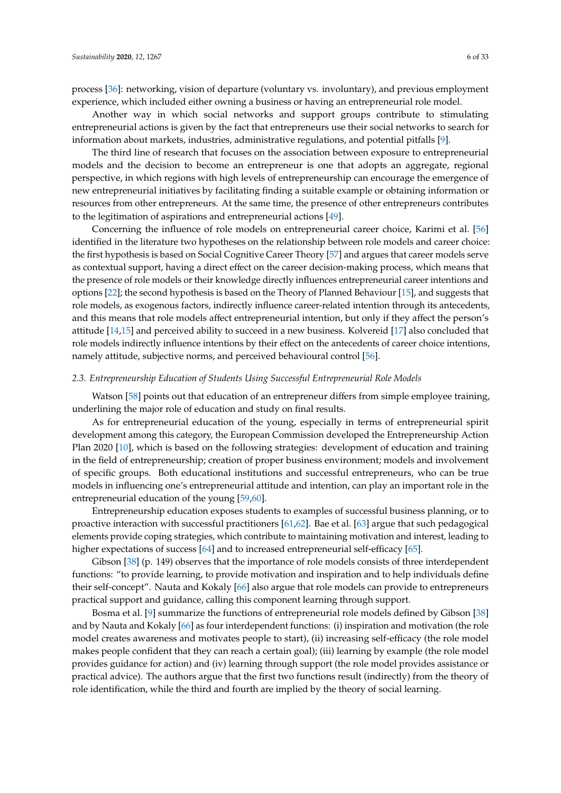process [\[36\]](#page-29-10): networking, vision of departure (voluntary vs. involuntary), and previous employment experience, which included either owning a business or having an entrepreneurial role model.

Another way in which social networks and support groups contribute to stimulating entrepreneurial actions is given by the fact that entrepreneurs use their social networks to search for information about markets, industries, administrative regulations, and potential pitfalls [\[9\]](#page-28-5).

The third line of research that focuses on the association between exposure to entrepreneurial models and the decision to become an entrepreneur is one that adopts an aggregate, regional perspective, in which regions with high levels of entrepreneurship can encourage the emergence of new entrepreneurial initiatives by facilitating finding a suitable example or obtaining information or resources from other entrepreneurs. At the same time, the presence of other entrepreneurs contributes to the legitimation of aspirations and entrepreneurial actions [\[49\]](#page-29-22).

Concerning the influence of role models on entrepreneurial career choice, Karimi et al. [\[56\]](#page-30-1) identified in the literature two hypotheses on the relationship between role models and career choice: the first hypothesis is based on Social Cognitive Career Theory [\[57\]](#page-30-2) and argues that career models serve as contextual support, having a direct effect on the career decision-making process, which means that the presence of role models or their knowledge directly influences entrepreneurial career intentions and options [\[22\]](#page-28-20); the second hypothesis is based on the Theory of Planned Behaviour [\[15\]](#page-28-21), and suggests that role models, as exogenous factors, indirectly influence career-related intention through its antecedents, and this means that role models affect entrepreneurial intention, but only if they affect the person's attitude [\[14](#page-28-10)[,15\]](#page-28-21) and perceived ability to succeed in a new business. Kolvereid [\[17\]](#page-28-22) also concluded that role models indirectly influence intentions by their effect on the antecedents of career choice intentions, namely attitude, subjective norms, and perceived behavioural control [\[56\]](#page-30-1).

#### *2.3. Entrepreneurship Education of Students Using Successful Entrepreneurial Role Models*

Watson [\[58\]](#page-30-3) points out that education of an entrepreneur differs from simple employee training, underlining the major role of education and study on final results.

As for entrepreneurial education of the young, especially in terms of entrepreneurial spirit development among this category, the European Commission developed the Entrepreneurship Action Plan 2020 [\[10\]](#page-28-6), which is based on the following strategies: development of education and training in the field of entrepreneurship; creation of proper business environment; models and involvement of specific groups. Both educational institutions and successful entrepreneurs, who can be true models in influencing one's entrepreneurial attitude and intention, can play an important role in the entrepreneurial education of the young [\[59](#page-30-4)[,60\]](#page-30-5).

Entrepreneurship education exposes students to examples of successful business planning, or to proactive interaction with successful practitioners [\[61](#page-30-6)[,62\]](#page-30-7). Bae et al. [\[63\]](#page-30-8) argue that such pedagogical elements provide coping strategies, which contribute to maintaining motivation and interest, leading to higher expectations of success [\[64\]](#page-30-9) and to increased entrepreneurial self-efficacy [\[65\]](#page-30-10).

Gibson [\[38\]](#page-29-12) (p. 149) observes that the importance of role models consists of three interdependent functions: "to provide learning, to provide motivation and inspiration and to help individuals define their self-concept". Nauta and Kokaly [\[66\]](#page-30-11) also argue that role models can provide to entrepreneurs practical support and guidance, calling this component learning through support.

Bosma et al. [\[9\]](#page-28-5) summarize the functions of entrepreneurial role models defined by Gibson [\[38\]](#page-29-12) and by Nauta and Kokaly [\[66\]](#page-30-11) as four interdependent functions: (i) inspiration and motivation (the role model creates awareness and motivates people to start), (ii) increasing self-efficacy (the role model makes people confident that they can reach a certain goal); (iii) learning by example (the role model provides guidance for action) and (iv) learning through support (the role model provides assistance or practical advice). The authors argue that the first two functions result (indirectly) from the theory of role identification, while the third and fourth are implied by the theory of social learning.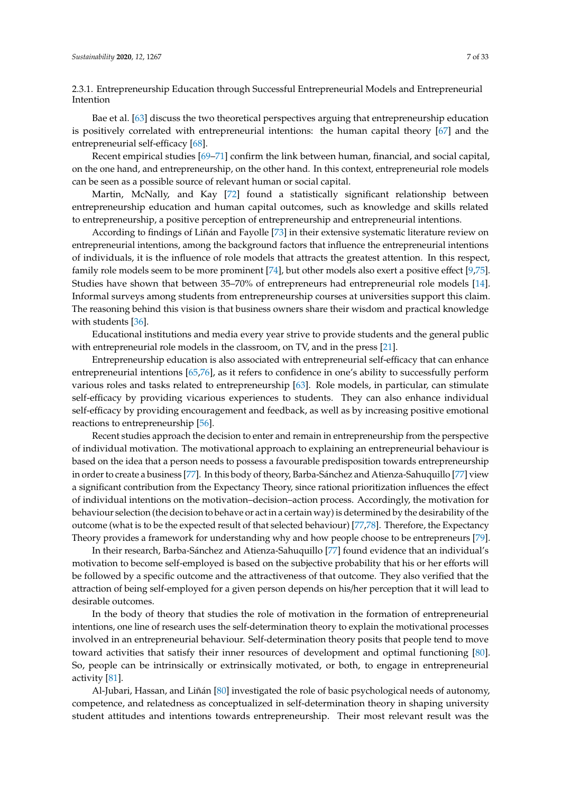2.3.1. Entrepreneurship Education through Successful Entrepreneurial Models and Entrepreneurial Intention

Bae et al. [\[63\]](#page-30-8) discuss the two theoretical perspectives arguing that entrepreneurship education is positively correlated with entrepreneurial intentions: the human capital theory [\[67\]](#page-30-12) and the entrepreneurial self-efficacy [\[68\]](#page-30-13).

Recent empirical studies [\[69](#page-30-14)[–71\]](#page-30-15) confirm the link between human, financial, and social capital, on the one hand, and entrepreneurship, on the other hand. In this context, entrepreneurial role models can be seen as a possible source of relevant human or social capital.

Martin, McNally, and Kay [\[72\]](#page-30-16) found a statistically significant relationship between entrepreneurship education and human capital outcomes, such as knowledge and skills related to entrepreneurship, a positive perception of entrepreneurship and entrepreneurial intentions.

According to findings of Liñán and Fayolle [\[73\]](#page-30-17) in their extensive systematic literature review on entrepreneurial intentions, among the background factors that influence the entrepreneurial intentions of individuals, it is the influence of role models that attracts the greatest attention. In this respect, family role models seem to be more prominent [\[74\]](#page-30-18), but other models also exert a positive effect [\[9](#page-28-5)[,75\]](#page-30-19). Studies have shown that between 35–70% of entrepreneurs had entrepreneurial role models [\[14\]](#page-28-10). Informal surveys among students from entrepreneurship courses at universities support this claim. The reasoning behind this vision is that business owners share their wisdom and practical knowledge with students [\[36\]](#page-29-10).

Educational institutions and media every year strive to provide students and the general public with entrepreneurial role models in the classroom, on TV, and in the press [\[21\]](#page-28-13).

Entrepreneurship education is also associated with entrepreneurial self-efficacy that can enhance entrepreneurial intentions [\[65,](#page-30-10)[76\]](#page-30-20), as it refers to confidence in one's ability to successfully perform various roles and tasks related to entrepreneurship [\[63\]](#page-30-8). Role models, in particular, can stimulate self-efficacy by providing vicarious experiences to students. They can also enhance individual self-efficacy by providing encouragement and feedback, as well as by increasing positive emotional reactions to entrepreneurship [\[56\]](#page-30-1).

Recent studies approach the decision to enter and remain in entrepreneurship from the perspective of individual motivation. The motivational approach to explaining an entrepreneurial behaviour is based on the idea that a person needs to possess a favourable predisposition towards entrepreneurship in order to create a business [\[77\]](#page-30-21). In this body of theory, Barba-Sánchez and Atienza-Sahuquillo [\[77\]](#page-30-21) view a significant contribution from the Expectancy Theory, since rational prioritization influences the effect of individual intentions on the motivation–decision–action process. Accordingly, the motivation for behaviour selection (the decision to behave or act in a certain way) is determined by the desirability of the outcome (what is to be the expected result of that selected behaviour) [\[77,](#page-30-21)[78\]](#page-30-22). Therefore, the Expectancy Theory provides a framework for understanding why and how people choose to be entrepreneurs [\[79\]](#page-31-0).

In their research, Barba-Sánchez and Atienza-Sahuquillo [\[77\]](#page-30-21) found evidence that an individual's motivation to become self-employed is based on the subjective probability that his or her efforts will be followed by a specific outcome and the attractiveness of that outcome. They also verified that the attraction of being self-employed for a given person depends on his/her perception that it will lead to desirable outcomes.

In the body of theory that studies the role of motivation in the formation of entrepreneurial intentions, one line of research uses the self-determination theory to explain the motivational processes involved in an entrepreneurial behaviour. Self-determination theory posits that people tend to move toward activities that satisfy their inner resources of development and optimal functioning [\[80\]](#page-31-1). So, people can be intrinsically or extrinsically motivated, or both, to engage in entrepreneurial activity [\[81\]](#page-31-2).

Al-Jubari, Hassan, and Liñán [\[80\]](#page-31-1) investigated the role of basic psychological needs of autonomy, competence, and relatedness as conceptualized in self-determination theory in shaping university student attitudes and intentions towards entrepreneurship. Their most relevant result was the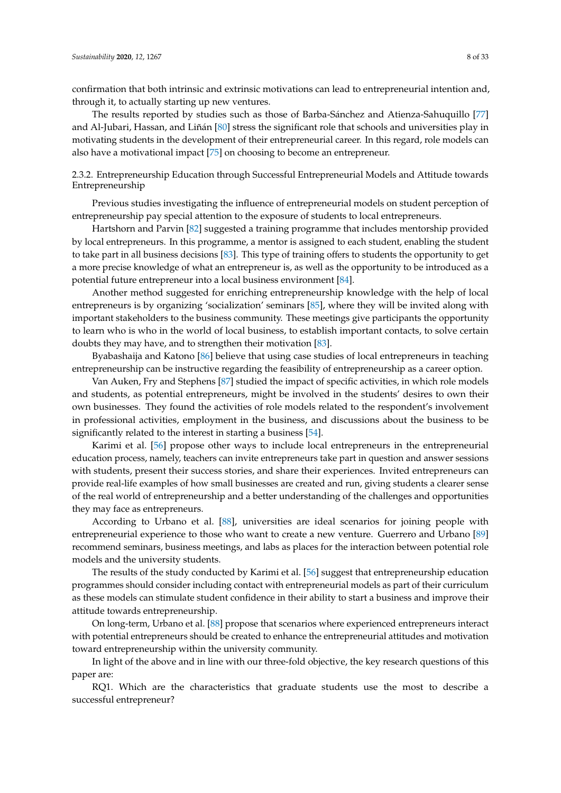confirmation that both intrinsic and extrinsic motivations can lead to entrepreneurial intention and, through it, to actually starting up new ventures.

The results reported by studies such as those of Barba-Sánchez and Atienza-Sahuquillo [\[77\]](#page-30-21) and Al-Jubari, Hassan, and Liñán [\[80\]](#page-31-1) stress the significant role that schools and universities play in motivating students in the development of their entrepreneurial career. In this regard, role models can also have a motivational impact [\[75\]](#page-30-19) on choosing to become an entrepreneur.

## 2.3.2. Entrepreneurship Education through Successful Entrepreneurial Models and Attitude towards Entrepreneurship

Previous studies investigating the influence of entrepreneurial models on student perception of entrepreneurship pay special attention to the exposure of students to local entrepreneurs.

Hartshorn and Parvin [\[82\]](#page-31-3) suggested a training programme that includes mentorship provided by local entrepreneurs. In this programme, a mentor is assigned to each student, enabling the student to take part in all business decisions [\[83\]](#page-31-4). This type of training offers to students the opportunity to get a more precise knowledge of what an entrepreneur is, as well as the opportunity to be introduced as a potential future entrepreneur into a local business environment [\[84\]](#page-31-5).

Another method suggested for enriching entrepreneurship knowledge with the help of local entrepreneurs is by organizing 'socialization' seminars [\[85\]](#page-31-6), where they will be invited along with important stakeholders to the business community. These meetings give participants the opportunity to learn who is who in the world of local business, to establish important contacts, to solve certain doubts they may have, and to strengthen their motivation [\[83\]](#page-31-4).

Byabashaija and Katono [\[86\]](#page-31-7) believe that using case studies of local entrepreneurs in teaching entrepreneurship can be instructive regarding the feasibility of entrepreneurship as a career option.

Van Auken, Fry and Stephens [\[87\]](#page-31-8) studied the impact of specific activities, in which role models and students, as potential entrepreneurs, might be involved in the students' desires to own their own businesses. They found the activities of role models related to the respondent's involvement in professional activities, employment in the business, and discussions about the business to be significantly related to the interest in starting a business [\[54\]](#page-29-27).

Karimi et al. [\[56\]](#page-30-1) propose other ways to include local entrepreneurs in the entrepreneurial education process, namely, teachers can invite entrepreneurs take part in question and answer sessions with students, present their success stories, and share their experiences. Invited entrepreneurs can provide real-life examples of how small businesses are created and run, giving students a clearer sense of the real world of entrepreneurship and a better understanding of the challenges and opportunities they may face as entrepreneurs.

According to Urbano et al. [\[88\]](#page-31-9), universities are ideal scenarios for joining people with entrepreneurial experience to those who want to create a new venture. Guerrero and Urbano [\[89\]](#page-31-10) recommend seminars, business meetings, and labs as places for the interaction between potential role models and the university students.

The results of the study conducted by Karimi et al. [\[56\]](#page-30-1) suggest that entrepreneurship education programmes should consider including contact with entrepreneurial models as part of their curriculum as these models can stimulate student confidence in their ability to start a business and improve their attitude towards entrepreneurship.

On long-term, Urbano et al. [\[88\]](#page-31-9) propose that scenarios where experienced entrepreneurs interact with potential entrepreneurs should be created to enhance the entrepreneurial attitudes and motivation toward entrepreneurship within the university community.

In light of the above and in line with our three-fold objective, the key research questions of this paper are:

RQ1. Which are the characteristics that graduate students use the most to describe a successful entrepreneur?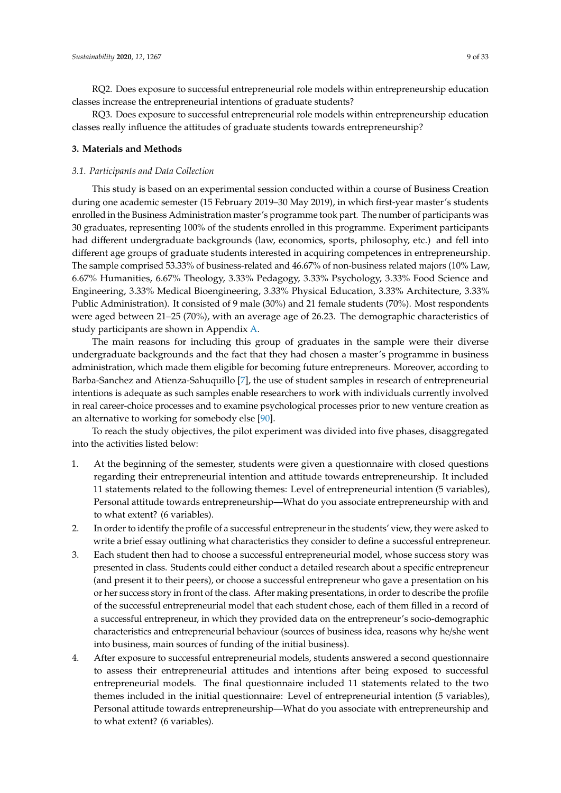RQ2. Does exposure to successful entrepreneurial role models within entrepreneurship education classes increase the entrepreneurial intentions of graduate students?

RQ3. Does exposure to successful entrepreneurial role models within entrepreneurship education classes really influence the attitudes of graduate students towards entrepreneurship?

### **3. Materials and Methods**

### *3.1. Participants and Data Collection*

This study is based on an experimental session conducted within a course of Business Creation during one academic semester (15 February 2019–30 May 2019), in which first-year master's students enrolled in the Business Administration master's programme took part. The number of participants was 30 graduates, representing 100% of the students enrolled in this programme. Experiment participants had different undergraduate backgrounds (law, economics, sports, philosophy, etc.) and fell into different age groups of graduate students interested in acquiring competences in entrepreneurship. The sample comprised 53.33% of business-related and 46.67% of non-business related majors (10% Law, 6.67% Humanities, 6.67% Theology, 3.33% Pedagogy, 3.33% Psychology, 3.33% Food Science and Engineering, 3.33% Medical Bioengineering, 3.33% Physical Education, 3.33% Architecture, 3.33% Public Administration). It consisted of 9 male (30%) and 21 female students (70%). Most respondents were aged between 21–25 (70%), with an average age of 26.23. The demographic characteristics of study participants are shown in Appendix [A.](#page-22-0)

The main reasons for including this group of graduates in the sample were their diverse undergraduate backgrounds and the fact that they had chosen a master's programme in business administration, which made them eligible for becoming future entrepreneurs. Moreover, according to Barba-Sanchez and Atienza-Sahuquillo [\[7\]](#page-28-3), the use of student samples in research of entrepreneurial intentions is adequate as such samples enable researchers to work with individuals currently involved in real career-choice processes and to examine psychological processes prior to new venture creation as an alternative to working for somebody else [\[90\]](#page-31-11).

To reach the study objectives, the pilot experiment was divided into five phases, disaggregated into the activities listed below:

- 1. At the beginning of the semester, students were given a questionnaire with closed questions regarding their entrepreneurial intention and attitude towards entrepreneurship. It included 11 statements related to the following themes: Level of entrepreneurial intention (5 variables), Personal attitude towards entrepreneurship—What do you associate entrepreneurship with and to what extent? (6 variables).
- 2. In order to identify the profile of a successful entrepreneur in the students' view, they were asked to write a brief essay outlining what characteristics they consider to define a successful entrepreneur.
- 3. Each student then had to choose a successful entrepreneurial model, whose success story was presented in class. Students could either conduct a detailed research about a specific entrepreneur (and present it to their peers), or choose a successful entrepreneur who gave a presentation on his or her success story in front of the class. After making presentations, in order to describe the profile of the successful entrepreneurial model that each student chose, each of them filled in a record of a successful entrepreneur, in which they provided data on the entrepreneur's socio-demographic characteristics and entrepreneurial behaviour (sources of business idea, reasons why he/she went into business, main sources of funding of the initial business).
- 4. After exposure to successful entrepreneurial models, students answered a second questionnaire to assess their entrepreneurial attitudes and intentions after being exposed to successful entrepreneurial models. The final questionnaire included 11 statements related to the two themes included in the initial questionnaire: Level of entrepreneurial intention (5 variables), Personal attitude towards entrepreneurship—What do you associate with entrepreneurship and to what extent? (6 variables).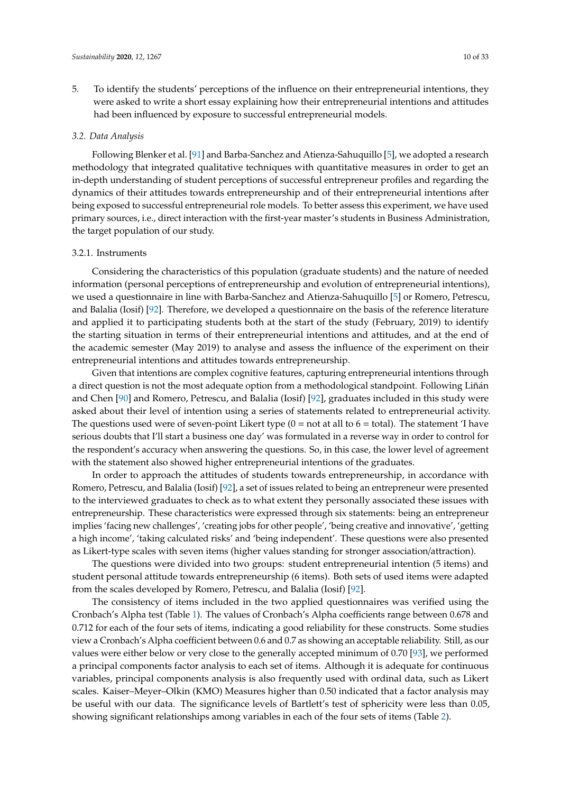- 
- 5. To identify the students' perceptions of the influence on their entrepreneurial intentions, they were asked to write a short essay explaining how their entrepreneurial intentions and attitudes had been influenced by exposure to successful entrepreneurial models.

#### *3.2. Data Analysis*

Following Blenker et al. [\[91\]](#page-31-12) and Barba-Sanchez and Atienza-Sahuquillo [\[5\]](#page-28-1), we adopted a research methodology that integrated qualitative techniques with quantitative measures in order to get an in-depth understanding of student perceptions of successful entrepreneur profiles and regarding the dynamics of their attitudes towards entrepreneurship and of their entrepreneurial intentions after being exposed to successful entrepreneurial role models. To better assess this experiment, we have used primary sources, i.e., direct interaction with the first-year master's students in Business Administration, the target population of our study.

#### 3.2.1. Instruments

Considering the characteristics of this population (graduate students) and the nature of needed information (personal perceptions of entrepreneurship and evolution of entrepreneurial intentions), we used a questionnaire in line with Barba-Sanchez and Atienza-Sahuquillo [\[5\]](#page-28-1) or Romero, Petrescu, and Balalia (Iosif) [\[92\]](#page-31-13). Therefore, we developed a questionnaire on the basis of the reference literature and applied it to participating students both at the start of the study (February, 2019) to identify the starting situation in terms of their entrepreneurial intentions and attitudes, and at the end of the academic semester (May 2019) to analyse and assess the influence of the experiment on their entrepreneurial intentions and attitudes towards entrepreneurship.

Given that intentions are complex cognitive features, capturing entrepreneurial intentions through a direct question is not the most adequate option from a methodological standpoint. Following Liñán and Chen [\[90\]](#page-31-11) and Romero, Petrescu, and Balalia (Iosif) [\[92\]](#page-31-13), graduates included in this study were asked about their level of intention using a series of statements related to entrepreneurial activity. The questions used were of seven-point Likert type  $(0 = not at all to 6 = total)$ . The statement 'I have serious doubts that I'll start a business one day' was formulated in a reverse way in order to control for the respondent's accuracy when answering the questions. So, in this case, the lower level of agreement with the statement also showed higher entrepreneurial intentions of the graduates.

In order to approach the attitudes of students towards entrepreneurship, in accordance with Romero, Petrescu, and Balalia (Iosif) [\[92\]](#page-31-13), a set of issues related to being an entrepreneur were presented to the interviewed graduates to check as to what extent they personally associated these issues with entrepreneurship. These characteristics were expressed through six statements: being an entrepreneur implies 'facing new challenges', 'creating jobs for other people', 'being creative and innovative', 'getting a high income', 'taking calculated risks' and 'being independent'. These questions were also presented as Likert-type scales with seven items (higher values standing for stronger association/attraction).

The questions were divided into two groups: student entrepreneurial intention (5 items) and student personal attitude towards entrepreneurship (6 items). Both sets of used items were adapted from the scales developed by Romero, Petrescu, and Balalia (Iosif) [\[92\]](#page-31-13).

The consistency of items included in the two applied questionnaires was verified using the Cronbach's Alpha test (Table [1\)](#page-10-0). The values of Cronbach's Alpha coefficients range between 0.678 and 0.712 for each of the four sets of items, indicating a good reliability for these constructs. Some studies view a Cronbach's Alpha coefficient between 0.6 and 0.7 as showing an acceptable reliability. Still, as our values were either below or very close to the generally accepted minimum of 0.70 [\[93\]](#page-31-14), we performed a principal components factor analysis to each set of items. Although it is adequate for continuous variables, principal components analysis is also frequently used with ordinal data, such as Likert scales. Kaiser–Meyer–Olkin (KMO) Measures higher than 0.50 indicated that a factor analysis may be useful with our data. The significance levels of Bartlett's test of sphericity were less than 0.05, showing significant relationships among variables in each of the four sets of items (Table [2\)](#page-10-1).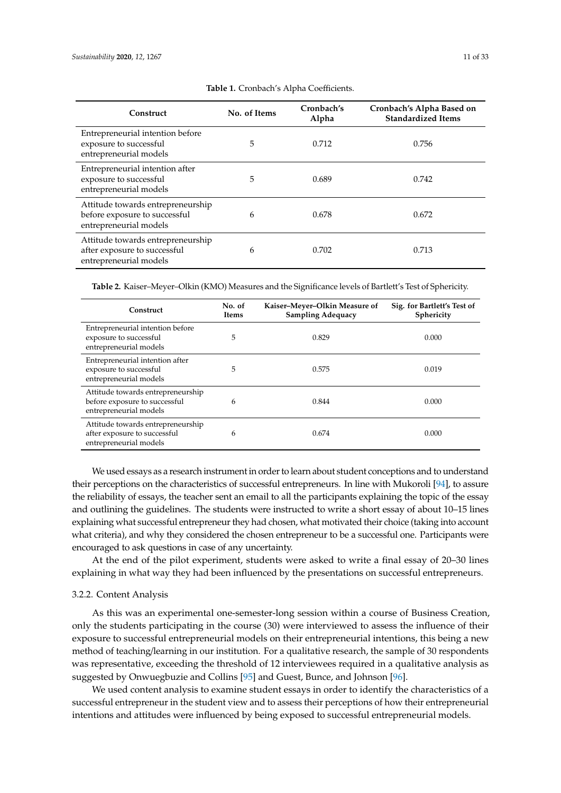<span id="page-10-0"></span>

| Construct                                                                                    | No. of Items | Cronbach's<br>Alpha | Cronbach's Alpha Based on<br><b>Standardized Items</b> |
|----------------------------------------------------------------------------------------------|--------------|---------------------|--------------------------------------------------------|
| Entrepreneurial intention before<br>exposure to successful<br>entrepreneurial models         | 5            | 0.712               | 0.756                                                  |
| Entrepreneurial intention after<br>exposure to successful<br>entrepreneurial models          | 5            | 0.689               | 0.742                                                  |
| Attitude towards entrepreneurship<br>before exposure to successful<br>entrepreneurial models | 6            | 0.678               | 0.672                                                  |
| Attitude towards entrepreneurship<br>after exposure to successful<br>entrepreneurial models  | 6            | 0.702               | 0.713                                                  |

**Table 1.** Cronbach's Alpha Coefficients.

<span id="page-10-1"></span>**Table 2.** Kaiser–Meyer–Olkin (KMO) Measures and the Significance levels of Bartlett's Test of Sphericity.

| Construct                                                                                    | No. of<br>Items | Kaiser-Meyer-Olkin Measure of<br><b>Sampling Adequacy</b> | Sig. for Bartlett's Test of<br>Sphericity |  |
|----------------------------------------------------------------------------------------------|-----------------|-----------------------------------------------------------|-------------------------------------------|--|
| Entrepreneurial intention before<br>exposure to successful<br>entrepreneurial models         | 5               | 0.829                                                     | 0.000                                     |  |
| Entrepreneurial intention after<br>exposure to successful<br>entrepreneurial models          | 5               | 0.575                                                     | 0.019                                     |  |
| Attitude towards entrepreneurship<br>before exposure to successful<br>entrepreneurial models | 6               | 0.844                                                     | 0.000                                     |  |
| Attitude towards entrepreneurship<br>after exposure to successful<br>entrepreneurial models  | 6               | 0.674                                                     | 0.000                                     |  |

We used essays as a research instrument in order to learn about student conceptions and to understand their perceptions on the characteristics of successful entrepreneurs. In line with Mukoroli [\[94\]](#page-31-15), to assure the reliability of essays, the teacher sent an email to all the participants explaining the topic of the essay and outlining the guidelines. The students were instructed to write a short essay of about 10–15 lines explaining what successful entrepreneur they had chosen, what motivated their choice (taking into account what criteria), and why they considered the chosen entrepreneur to be a successful one. Participants were encouraged to ask questions in case of any uncertainty.

At the end of the pilot experiment, students were asked to write a final essay of 20–30 lines explaining in what way they had been influenced by the presentations on successful entrepreneurs.

#### 3.2.2. Content Analysis

As this was an experimental one-semester-long session within a course of Business Creation, only the students participating in the course (30) were interviewed to assess the influence of their exposure to successful entrepreneurial models on their entrepreneurial intentions, this being a new method of teaching/learning in our institution. For a qualitative research, the sample of 30 respondents was representative, exceeding the threshold of 12 interviewees required in a qualitative analysis as suggested by Onwuegbuzie and Collins [\[95\]](#page-31-16) and Guest, Bunce, and Johnson [\[96\]](#page-31-17).

We used content analysis to examine student essays in order to identify the characteristics of a successful entrepreneur in the student view and to assess their perceptions of how their entrepreneurial intentions and attitudes were influenced by being exposed to successful entrepreneurial models.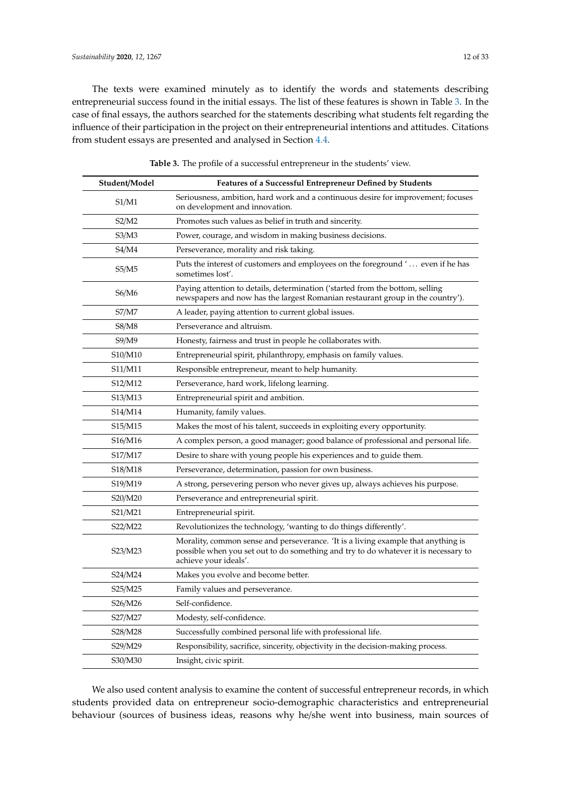The texts were examined minutely as to identify the words and statements describing entrepreneurial success found in the initial essays. The list of these features is shown in Table [3.](#page-11-0) In the case of final essays, the authors searched for the statements describing what students felt regarding the influence of their participation in the project on their entrepreneurial intentions and attitudes. Citations from student essays are presented and analysed in Section [4.4.](#page-18-0)

<span id="page-11-0"></span>

| Student/Model                    | Features of a Successful Entrepreneur Defined by Students                                                                                                                                        |
|----------------------------------|--------------------------------------------------------------------------------------------------------------------------------------------------------------------------------------------------|
| S1/M1                            | Seriousness, ambition, hard work and a continuous desire for improvement; focuses<br>on development and innovation.                                                                              |
| S2/M2                            | Promotes such values as belief in truth and sincerity.                                                                                                                                           |
| S3/M3                            | Power, courage, and wisdom in making business decisions.                                                                                                                                         |
| S4/M4                            | Perseverance, morality and risk taking.                                                                                                                                                          |
| S5/M5                            | Puts the interest of customers and employees on the foreground ' even if he has<br>sometimes lost'.                                                                                              |
| S6/M6                            | Paying attention to details, determination ('started from the bottom, selling<br>newspapers and now has the largest Romanian restaurant group in the country').                                  |
| S7/M7                            | A leader, paying attention to current global issues.                                                                                                                                             |
| S8/M8                            | Perseverance and altruism.                                                                                                                                                                       |
| S9/M9                            | Honesty, fairness and trust in people he collaborates with.                                                                                                                                      |
| S10/M10                          | Entrepreneurial spirit, philanthropy, emphasis on family values.                                                                                                                                 |
| S11/M11                          | Responsible entrepreneur, meant to help humanity.                                                                                                                                                |
| S12/M12                          | Perseverance, hard work, lifelong learning.                                                                                                                                                      |
| S <sub>13</sub> /M <sub>13</sub> | Entrepreneurial spirit and ambition.                                                                                                                                                             |
| S14/M14                          | Humanity, family values.                                                                                                                                                                         |
| S15/M15                          | Makes the most of his talent, succeeds in exploiting every opportunity.                                                                                                                          |
| S16/M16                          | A complex person, a good manager; good balance of professional and personal life.                                                                                                                |
| S17/M17                          | Desire to share with young people his experiences and to guide them.                                                                                                                             |
| S <sub>18</sub> /M <sub>18</sub> | Perseverance, determination, passion for own business.                                                                                                                                           |
| S19/M19                          | A strong, persevering person who never gives up, always achieves his purpose.                                                                                                                    |
| S20/M20                          | Perseverance and entrepreneurial spirit.                                                                                                                                                         |
| S21/M21                          | Entrepreneurial spirit.                                                                                                                                                                          |
| S22/M22                          | Revolutionizes the technology, 'wanting to do things differently'.                                                                                                                               |
| S23/M23                          | Morality, common sense and perseverance. Tt is a living example that anything is<br>possible when you set out to do something and try to do whatever it is necessary to<br>achieve your ideals'. |
| S24/M24                          | Makes you evolve and become better.                                                                                                                                                              |
| S25/M25                          | Family values and perseverance.                                                                                                                                                                  |
| S26/M26                          | Self-confidence.                                                                                                                                                                                 |
| S27/M27                          | Modesty, self-confidence.                                                                                                                                                                        |
| S28/M28                          | Successfully combined personal life with professional life.                                                                                                                                      |
| S29/M29                          | Responsibility, sacrifice, sincerity, objectivity in the decision-making process.                                                                                                                |
| S30/M30                          | Insight, civic spirit.                                                                                                                                                                           |

**Table 3.** The profile of a successful entrepreneur in the students' view.

We also used content analysis to examine the content of successful entrepreneur records, in which students provided data on entrepreneur socio-demographic characteristics and entrepreneurial behaviour (sources of business ideas, reasons why he/she went into business, main sources of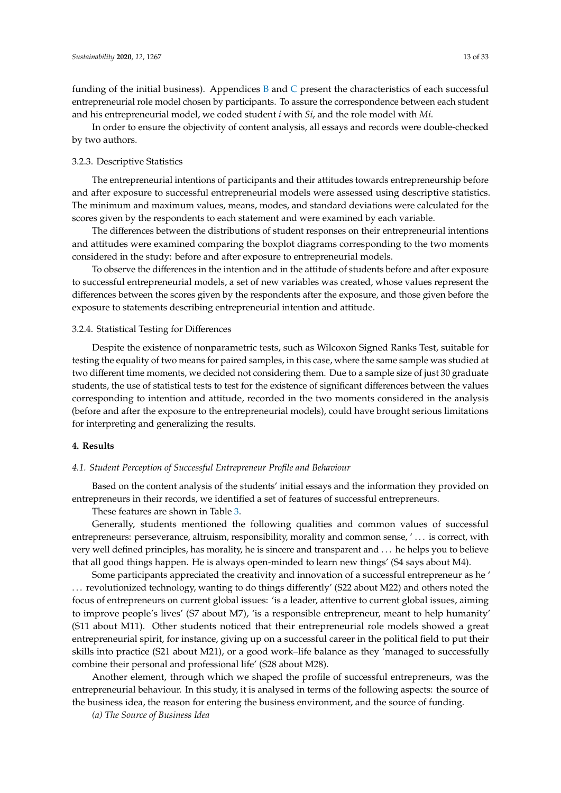funding of the initial business). Appendices  $B$  and  $C$  present the characteristics of each successful entrepreneurial role model chosen by participants. To assure the correspondence between each student and his entrepreneurial model, we coded student *i* with *Si*, and the role model with *Mi*.

In order to ensure the objectivity of content analysis, all essays and records were double-checked by two authors.

#### 3.2.3. Descriptive Statistics

The entrepreneurial intentions of participants and their attitudes towards entrepreneurship before and after exposure to successful entrepreneurial models were assessed using descriptive statistics. The minimum and maximum values, means, modes, and standard deviations were calculated for the scores given by the respondents to each statement and were examined by each variable.

The differences between the distributions of student responses on their entrepreneurial intentions and attitudes were examined comparing the boxplot diagrams corresponding to the two moments considered in the study: before and after exposure to entrepreneurial models.

To observe the differences in the intention and in the attitude of students before and after exposure to successful entrepreneurial models, a set of new variables was created, whose values represent the differences between the scores given by the respondents after the exposure, and those given before the exposure to statements describing entrepreneurial intention and attitude.

#### 3.2.4. Statistical Testing for Differences

Despite the existence of nonparametric tests, such as Wilcoxon Signed Ranks Test, suitable for testing the equality of two means for paired samples, in this case, where the same sample was studied at two different time moments, we decided not considering them. Due to a sample size of just 30 graduate students, the use of statistical tests to test for the existence of significant differences between the values corresponding to intention and attitude, recorded in the two moments considered in the analysis (before and after the exposure to the entrepreneurial models), could have brought serious limitations for interpreting and generalizing the results.

#### **4. Results**

#### *4.1. Student Perception of Successful Entrepreneur Profile and Behaviour*

Based on the content analysis of the students' initial essays and the information they provided on entrepreneurs in their records, we identified a set of features of successful entrepreneurs.

These features are shown in Table [3.](#page-11-0)

Generally, students mentioned the following qualities and common values of successful entrepreneurs: perseverance, altruism, responsibility, morality and common sense, ' . . . is correct, with very well defined principles, has morality, he is sincere and transparent and . . . he helps you to believe that all good things happen. He is always open-minded to learn new things' (S4 says about M4).

Some participants appreciated the creativity and innovation of a successful entrepreneur as he ' . . . revolutionized technology, wanting to do things differently' (S22 about M22) and others noted the focus of entrepreneurs on current global issues: 'is a leader, attentive to current global issues, aiming to improve people's lives' (S7 about M7), 'is a responsible entrepreneur, meant to help humanity' (S11 about M11). Other students noticed that their entrepreneurial role models showed a great entrepreneurial spirit, for instance, giving up on a successful career in the political field to put their skills into practice (S21 about M21), or a good work–life balance as they 'managed to successfully combine their personal and professional life' (S28 about M28).

Another element, through which we shaped the profile of successful entrepreneurs, was the entrepreneurial behaviour. In this study, it is analysed in terms of the following aspects: the source of the business idea, the reason for entering the business environment, and the source of funding.

*(a) The Source of Business Idea*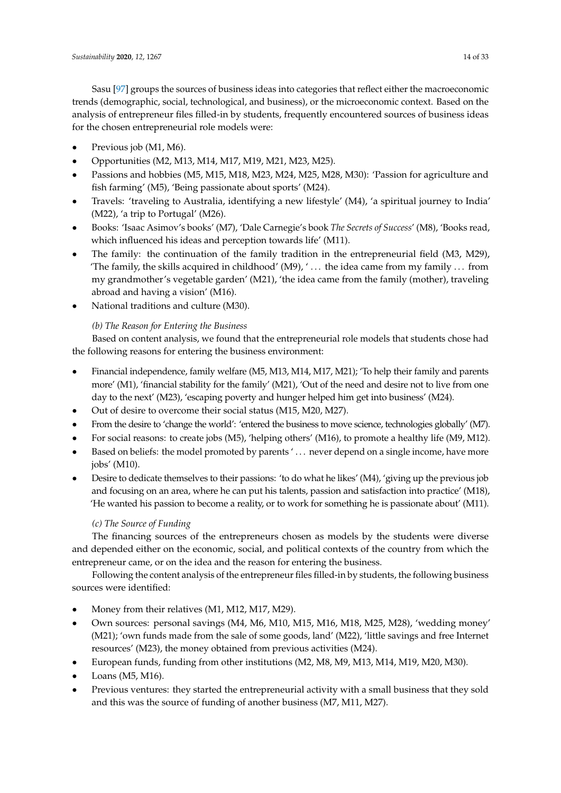Sasu [\[97\]](#page-31-18) groups the sources of business ideas into categories that reflect either the macroeconomic trends (demographic, social, technological, and business), or the microeconomic context. Based on the analysis of entrepreneur files filled-in by students, frequently encountered sources of business ideas for the chosen entrepreneurial role models were:

- Previous job (M1, M6).
- Opportunities (M2, M13, M14, M17, M19, M21, M23, M25).
- Passions and hobbies (M5, M15, M18, M23, M24, M25, M28, M30): 'Passion for agriculture and fish farming' (M5), 'Being passionate about sports' (M24).
- Travels: 'traveling to Australia, identifying a new lifestyle' (M4), 'a spiritual journey to India' (M22), 'a trip to Portugal' (M26).
- Books: 'Isaac Asimov's books' (M7), 'Dale Carnegie's book *The Secrets of Success*' (M8), 'Books read, which influenced his ideas and perception towards life' (M11).
- The family: the continuation of the family tradition in the entrepreneurial field (M3, M29), The family, the skills acquired in childhood'  $(M9)$ ,  $' \ldots$  the idea came from my family  $\ldots$  from my grandmother's vegetable garden' (M21), 'the idea came from the family (mother), traveling abroad and having a vision' (M16).
- National traditions and culture (M30).

# *(b) The Reason for Entering the Business*

Based on content analysis, we found that the entrepreneurial role models that students chose had the following reasons for entering the business environment:

- Financial independence, family welfare (M5, M13, M14, M17, M21); 'To help their family and parents more' (M1), 'financial stability for the family' (M21), 'Out of the need and desire not to live from one day to the next' (M23), 'escaping poverty and hunger helped him get into business' (M24).
- Out of desire to overcome their social status (M15, M20, M27).
- From the desire to 'change the world': 'entered the business to move science, technologies globally' (M7).
- For social reasons: to create jobs (M5), 'helping others' (M16), to promote a healthy life (M9, M12).
- Based on beliefs: the model promoted by parents '... never depend on a single income, have more jobs' (M10).
- Desire to dedicate themselves to their passions: 'to do what he likes' (M4), 'giving up the previous job and focusing on an area, where he can put his talents, passion and satisfaction into practice' (M18), 'He wanted his passion to become a reality, or to work for something he is passionate about' (M11).

# *(c) The Source of Funding*

The financing sources of the entrepreneurs chosen as models by the students were diverse and depended either on the economic, social, and political contexts of the country from which the entrepreneur came, or on the idea and the reason for entering the business.

Following the content analysis of the entrepreneur files filled-in by students, the following business sources were identified:

- Money from their relatives (M1, M12, M17, M29).
- Own sources: personal savings (M4, M6, M10, M15, M16, M18, M25, M28), 'wedding money' (M21); 'own funds made from the sale of some goods, land' (M22), 'little savings and free Internet resources' (M23), the money obtained from previous activities (M24).
- European funds, funding from other institutions (M2, M8, M9, M13, M14, M19, M20, M30).
- Loans (M5, M16).
- Previous ventures: they started the entrepreneurial activity with a small business that they sold and this was the source of funding of another business (M7, M11, M27).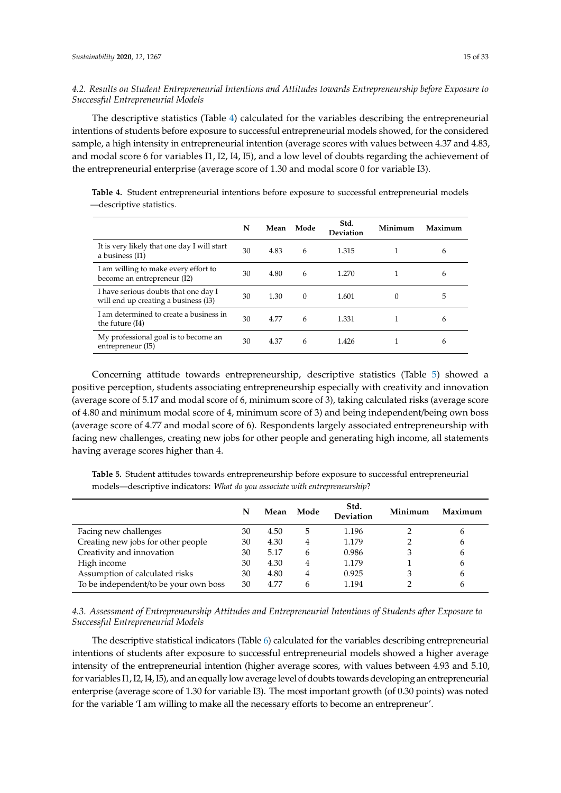### *4.2. Results on Student Entrepreneurial Intentions and Attitudes towards Entrepreneurship before Exposure to Successful Entrepreneurial Models*

The descriptive statistics (Table [4\)](#page-14-0) calculated for the variables describing the entrepreneurial intentions of students before exposure to successful entrepreneurial models showed, for the considered sample, a high intensity in entrepreneurial intention (average scores with values between 4.37 and 4.83, and modal score 6 for variables I1, I2, I4, I5), and a low level of doubts regarding the achievement of the entrepreneurial enterprise (average score of 1.30 and modal score 0 for variable I3).

<span id="page-14-0"></span>

|                          | Table 4. Student entrepreneurial intentions before exposure to successful entrepreneurial models |  |  |  |
|--------------------------|--------------------------------------------------------------------------------------------------|--|--|--|
| —descriptive statistics. |                                                                                                  |  |  |  |

|                                                                              | N  | Mean | Mode     | Std.<br>Deviation | Minimum | Maximum |
|------------------------------------------------------------------------------|----|------|----------|-------------------|---------|---------|
| It is very likely that one day I will start<br>a business (I1)               | 30 | 4.83 | 6        | 1.315             |         | 6       |
| I am willing to make every effort to<br>become an entrepreneur (I2)          | 30 | 4.80 | 6        | 1.270             |         | 6       |
| I have serious doubts that one day I<br>will end up creating a business (I3) | 30 | 1.30 | $\Omega$ | 1.601             | 0       | 5       |
| I am determined to create a business in<br>the future $(14)$                 | 30 | 4.77 | 6        | 1.331             |         | 6       |
| My professional goal is to become an<br>entrepreneur (I5)                    | 30 | 4.37 | 6        | 1.426             |         | 6       |

Concerning attitude towards entrepreneurship, descriptive statistics (Table [5\)](#page-14-1) showed a positive perception, students associating entrepreneurship especially with creativity and innovation (average score of 5.17 and modal score of 6, minimum score of 3), taking calculated risks (average score of 4.80 and minimum modal score of 4, minimum score of 3) and being independent/being own boss (average score of 4.77 and modal score of 6). Respondents largely associated entrepreneurship with facing new challenges, creating new jobs for other people and generating high income, all statements having average scores higher than 4.

<span id="page-14-1"></span>**Table 5.** Student attitudes towards entrepreneurship before exposure to successful entrepreneurial models—descriptive indicators: *What do you associate with entrepreneurship*?

|                                       | N  | Mean | Mode | Std.<br>Deviation | Minimum | Maximum |
|---------------------------------------|----|------|------|-------------------|---------|---------|
| Facing new challenges                 | 30 | 4.50 | 5    | 1.196             |         | b       |
| Creating new jobs for other people    | 30 | 4.30 | 4    | 1.179             |         | 6       |
| Creativity and innovation             | 30 | 5.17 | 6    | 0.986             |         | 6       |
| High income                           | 30 | 4.30 | 4    | 1.179             |         | 6       |
| Assumption of calculated risks        | 30 | 4.80 | 4    | 0.925             | 3       | 6       |
| To be independent/to be your own boss | 30 | 4.77 | h    | 1.194             |         | b       |

*4.3. Assessment of Entrepreneurship Attitudes and Entrepreneurial Intentions of Students after Exposure to Successful Entrepreneurial Models*

The descriptive statistical indicators (Table [6\)](#page-15-0) calculated for the variables describing entrepreneurial intentions of students after exposure to successful entrepreneurial models showed a higher average intensity of the entrepreneurial intention (higher average scores, with values between 4.93 and 5.10, for variables I1, I2, I4, I5), and an equally low average level of doubts towards developing an entrepreneurial enterprise (average score of 1.30 for variable I3). The most important growth (of 0.30 points) was noted for the variable 'I am willing to make all the necessary efforts to become an entrepreneur'.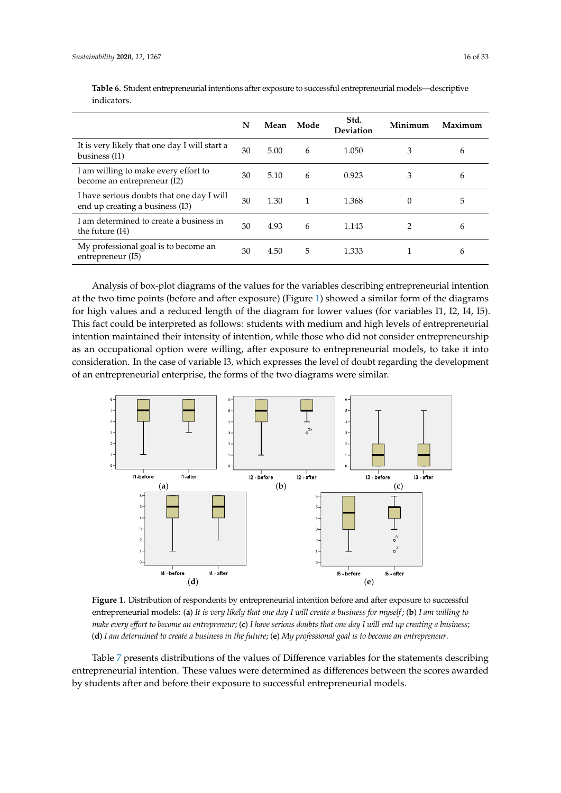|                                                                              | N  | Mean | Mode | Std.<br>Deviation | Minimum  | Maximum |
|------------------------------------------------------------------------------|----|------|------|-------------------|----------|---------|
| It is very likely that one day I will start a<br>business (I1)               | 30 | 5.00 | 6    | 1.050             | 3        | 6       |
| I am willing to make every effort to<br>become an entrepreneur (I2)          | 30 | 5.10 | 6    | 0.923             | 3        | 6       |
| I have serious doubts that one day I will<br>end up creating a business (I3) | 30 | 1.30 | 1    | 1.368             | $\Omega$ | 5       |
| I am determined to create a business in<br>the future $(14)$                 | 30 | 4.93 | 6    | 1.143             | 2        | 6       |
| My professional goal is to become an<br>entrepreneur (I5)                    | 30 | 4.50 | 5    | 1.333             |          | 6       |
|                                                                              |    |      |      |                   |          |         |

<span id="page-15-0"></span>Table 6. Student entrepreneurial intentions after exposure to successful entrepreneurial models—descriptive indicators.

Analysis of box-plot diagrams of the values for the variables describing entrepreneurial intention at the two time points (before and after exposure) (Figure [1\)](#page-15-1) showed a similar form of the diagrams for high values and a reduced length of the diagram for lower values (for variables I1, I2, I4, I5). This fact could be interpreted as follows: students with medium and high levels of entrepreneurial intention maintained their intensity of intention, while those who did not consider entrepreneurship as an occupational option were willing, after exposure to entrepreneurial models, to take it into consideration. In the case of variable I3, which expresses the level of doubt regarding the development to take it into case of variable I3, which expresses the level of doubt regarding the develop-<br>of an entrepreneurial enterprise, the forms of the two diagrams were similar. the development of an entrepreneurial enterprise, the forms of the two diagrams were similar.

<span id="page-15-1"></span>

**Figure 1.** Distribution of respondents by entrepreneurial intention before and after exposure to successful entrepreneurial models: (**a**) *It is very likely that one day I will create a business for myself*; (**b**) *I am willing to make every effort to become an entrepreneur*; (**c**) *I have serious doubts that one day I will end up creating a business*; (**d**) *I am determined to create a business in the future*; (**e**) *My professional goal is to become an entrepreneur*.

Table [7](#page-16-0) presents distributions of the values of Difference variables for the statements describing entrepreneurial intention. These values were determined as differences between the scores awarded by students after and before their exposure to successful entrepreneurial models.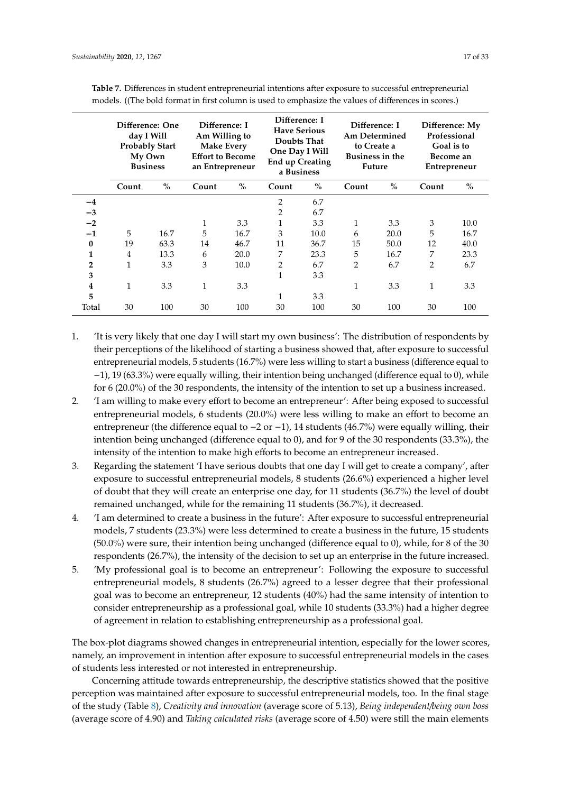|              | Difference: One<br>day I Will<br><b>Probably Start</b><br>My Own<br><b>Business</b> |      | Difference: I<br>Am Willing to<br><b>Make Every</b><br><b>Effort to Become</b><br>an Entrepreneur |      | Difference: I<br><b>Have Serious</b><br>Doubts That<br>One Day I Will<br><b>End up Creating</b><br>a Business |      | Difference: I<br>Am Determined<br>to Create a<br><b>Business in the</b><br><b>Future</b> |      | Difference: My<br>Professional<br>Goal is to<br>Become an<br>Entrepreneur |      |
|--------------|-------------------------------------------------------------------------------------|------|---------------------------------------------------------------------------------------------------|------|---------------------------------------------------------------------------------------------------------------|------|------------------------------------------------------------------------------------------|------|---------------------------------------------------------------------------|------|
|              | Count                                                                               | $\%$ | Count                                                                                             | $\%$ | Count                                                                                                         | $\%$ | Count                                                                                    | $\%$ | Count                                                                     | $\%$ |
| $-4$         |                                                                                     |      |                                                                                                   |      | 2                                                                                                             | 6.7  |                                                                                          |      |                                                                           |      |
| $-3$         |                                                                                     |      |                                                                                                   |      | 2                                                                                                             | 6.7  |                                                                                          |      |                                                                           |      |
| $-2$         |                                                                                     |      | 1                                                                                                 | 3.3  | 1                                                                                                             | 3.3  | 1                                                                                        | 3.3  | 3                                                                         | 10.0 |
| $-1$         | 5                                                                                   | 16.7 | 5                                                                                                 | 16.7 | 3                                                                                                             | 10.0 | 6                                                                                        | 20.0 | 5                                                                         | 16.7 |
| $\mathbf{0}$ | 19                                                                                  | 63.3 | 14                                                                                                | 46.7 | 11                                                                                                            | 36.7 | 15                                                                                       | 50.0 | 12                                                                        | 40.0 |
| 1            | 4                                                                                   | 13.3 | 6                                                                                                 | 20.0 | 7                                                                                                             | 23.3 | 5                                                                                        | 16.7 | 7                                                                         | 23.3 |
| 2            | 1                                                                                   | 3.3  | 3                                                                                                 | 10.0 | 2                                                                                                             | 6.7  | 2                                                                                        | 6.7  | 2                                                                         | 6.7  |
| 3            |                                                                                     |      |                                                                                                   |      | 1                                                                                                             | 3.3  |                                                                                          |      |                                                                           |      |
| 4            | 1                                                                                   | 3.3  | 1                                                                                                 | 3.3  |                                                                                                               |      | 1                                                                                        | 3.3  | 1                                                                         | 3.3  |
| 5            |                                                                                     |      |                                                                                                   |      | 1                                                                                                             | 3.3  |                                                                                          |      |                                                                           |      |
| Total        | 30                                                                                  | 100  | 30                                                                                                | 100  | 30                                                                                                            | 100  | 30                                                                                       | 100  | 30                                                                        | 100  |

<span id="page-16-0"></span>**Table 7.** Differences in student entrepreneurial intentions after exposure to successful entrepreneurial models. ((The bold format in first column is used to emphasize the values of differences in scores.)

- 1. 'It is very likely that one day I will start my own business': The distribution of respondents by their perceptions of the likelihood of starting a business showed that, after exposure to successful entrepreneurial models, 5 students (16.7%) were less willing to start a business (difference equal to −1), 19 (63.3%) were equally willing, their intention being unchanged (difference equal to 0), while for 6 (20.0%) of the 30 respondents, the intensity of the intention to set up a business increased.
- 2. 'I am willing to make every effort to become an entrepreneur': After being exposed to successful entrepreneurial models, 6 students (20.0%) were less willing to make an effort to become an entrepreneur (the difference equal to −2 or −1), 14 students (46.7%) were equally willing, their intention being unchanged (difference equal to 0), and for 9 of the 30 respondents (33.3%), the intensity of the intention to make high efforts to become an entrepreneur increased.
- 3. Regarding the statement 'I have serious doubts that one day I will get to create a company', after exposure to successful entrepreneurial models, 8 students (26.6%) experienced a higher level of doubt that they will create an enterprise one day, for 11 students (36.7%) the level of doubt remained unchanged, while for the remaining 11 students (36.7%), it decreased.
- 4. 'I am determined to create a business in the future': After exposure to successful entrepreneurial models, 7 students (23.3%) were less determined to create a business in the future, 15 students (50.0%) were sure, their intention being unchanged (difference equal to 0), while, for 8 of the 30 respondents (26.7%), the intensity of the decision to set up an enterprise in the future increased.
- 5. 'My professional goal is to become an entrepreneur': Following the exposure to successful entrepreneurial models, 8 students (26.7%) agreed to a lesser degree that their professional goal was to become an entrepreneur, 12 students (40%) had the same intensity of intention to consider entrepreneurship as a professional goal, while 10 students (33.3%) had a higher degree of agreement in relation to establishing entrepreneurship as a professional goal.

The box-plot diagrams showed changes in entrepreneurial intention, especially for the lower scores, namely, an improvement in intention after exposure to successful entrepreneurial models in the cases of students less interested or not interested in entrepreneurship.

Concerning attitude towards entrepreneurship, the descriptive statistics showed that the positive perception was maintained after exposure to successful entrepreneurial models, too. In the final stage of the study (Table [8\)](#page-17-0), *Creativity and innovation* (average score of 5.13), *Being independent*/*being own boss* (average score of 4.90) and *Taking calculated risks* (average score of 4.50) were still the main elements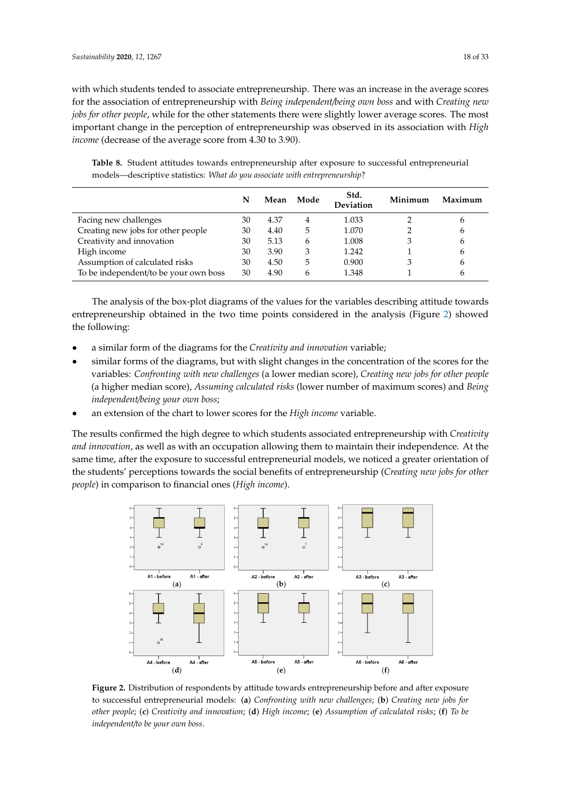with which students tended to associate entrepreneurship. There was an increase in the average scores for the association of entrepreneurship with *Being independent*/*being own boss* and with *Creating new jobs for other people*, while for the other statements there were slightly lower average scores. The most important change in the perception of entrepreneurship was observed in its association with *High income* (decrease of the average score from 4.30 to 3.90).

<span id="page-17-0"></span>**Table 8.** Student attitudes towards entrepreneurship after exposure to successful entrepreneurial models—descriptive statistics: *What do you associate with entrepreneurship*?

|                                       | N  | Mean | Mode | Std.<br><b>Deviation</b> | Minimum | Maximum |
|---------------------------------------|----|------|------|--------------------------|---------|---------|
| Facing new challenges                 | 30 | 4.37 | 4    | 1.033                    |         | b       |
| Creating new jobs for other people    | 30 | 4.40 | 5    | 1.070                    |         | 6       |
| Creativity and innovation             | 30 | 5.13 | 6    | 1.008                    |         | 6       |
| High income                           | 30 | 3.90 | 3    | 1.242                    |         | 6       |
| Assumption of calculated risks        | 30 | 4.50 | 5    | 0.900                    |         | 6       |
| To be independent/to be your own boss | 30 | 4.90 | h    | 1.348                    |         | 6       |

The analysis of the box-plot diagrams of the values for the variables describing attitude towards entrepreneurship obtained in the two time points considered in the analysis (Figure [2\)](#page-17-1) showed the following: increase in the average scores for the association of entrepreneurship with *Being independent/being*   $\ln \sigma$ observed in its association with *High income* (decrease of the average score from 4.30 to 3.90).

*independent/being own boss* (average score of 4.90) and *Taking calculated risks* (average score of 4.50)

- a similar form of the diagrams for the *Creativity and innovation* variable;
- similar forms of the diagrams, but with slight changes in the concentration of the scores for the variables: *Confronting with new challenges* (a lower median score), *Creating new jobs for other people* If  $\alpha$  higher median score), *Assuming calculated risks* (lower number of maximum scores) and *Being independent*/being your own boss; models of the diagrams, but with slight changes in the c
- an extension of the chart to lower scores for the *High income* variable.  $\sim$  5.13  $\mu$  5.13  $\mu$  5.13  $\mu$  5.13  $\mu$  5.13  $\mu$  5.13  $\mu$  5.13  $\mu$  5.13  $\mu$  5.13  $\mu$  5.13  $\mu$  5.13  $\mu$  5.13  $\mu$  5.13  $\mu$  5.13  $\mu$  5.13  $\mu$  5.13  $\mu$  5.13  $\mu$  5.13  $\mu$  5.13  $\mu$  5.13  $\mu$  5.13  $\mu$  5.13

The results confirmed the high degree to which students associated entrepreneurship with *Creativity and innovation,* as well as with an occupation allowing them to maintain their independence. At the same time, after the exposure to successful entrepreneurial models, we noticed a greater orientation of the students' perceptions towards the social benefits of entrepreneurship (Creating new jobs for other *people*) in comparison to financial ones (*High income*).  $\mathcal{A}$ following:

<span id="page-17-1"></span>

**Figure 2.** Distribution of respondents by attitude towards entrepreneurship before and after exposure **Figure 2.** Distribution of respondents by attitude towards entrepreneurship before and after exposure to successful entrepreneurial models: (a) Confronting with new challenges; (b) Creating new jobs for *other people*; (**c**) *Creativity and innovation*; (**d**) *High income*; (**e**) *Assumption of calculated risks*; (**f**) *To be independent*/*to be your own boss*.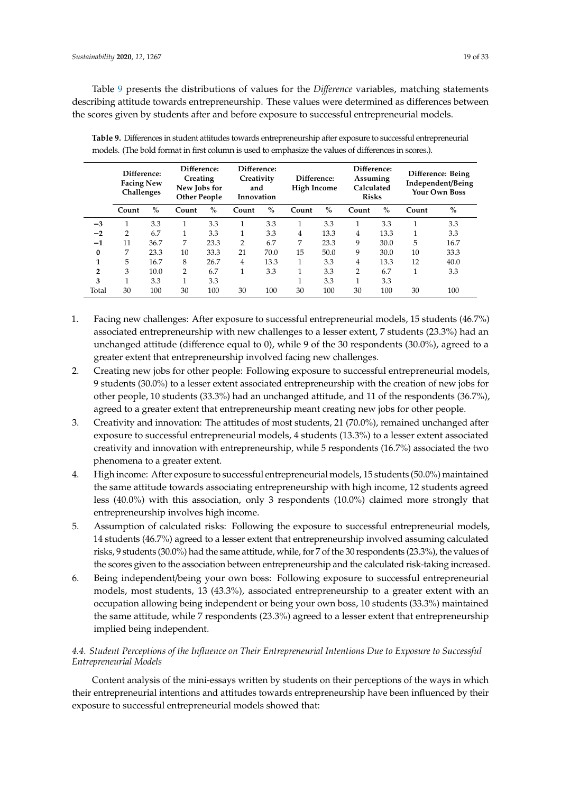Table [9](#page-18-1) presents the distributions of values for the *Di*ff*erence* variables, matching statements describing attitude towards entrepreneurship. These values were determined as differences between the scores given by students after and before exposure to successful entrepreneurial models.

|                | Difference:<br><b>Facing New</b><br>Challenges |               | Difference:<br>Creating<br>New Jobs for<br><b>Other People</b> |      | Difference:<br>Creativity<br>and<br>Innovation |      | Difference:<br><b>High Income</b> |      | Difference:<br>Assuming<br>Calculated<br><b>Risks</b> |      |       | Difference: Being<br>Independent/Being<br>Your Own Boss |
|----------------|------------------------------------------------|---------------|----------------------------------------------------------------|------|------------------------------------------------|------|-----------------------------------|------|-------------------------------------------------------|------|-------|---------------------------------------------------------|
|                | Count                                          | $\frac{0}{0}$ | Count                                                          | $\%$ | Count                                          | $\%$ | Count                             | $\%$ | Count                                                 | $\%$ | Count | $\%$                                                    |
| $-3$           | 1                                              | 3.3           | 1                                                              | 3.3  | 1                                              | 3.3  | 1                                 | 3.3  |                                                       | 3.3  | 1     | 3.3                                                     |
| $-2$           | 2                                              | 6.7           | 1                                                              | 3.3  | 1                                              | 3.3  | 4                                 | 13.3 | 4                                                     | 13.3 |       | 3.3                                                     |
| $-1$           | 11                                             | 36.7          | 7                                                              | 23.3 | $\overline{2}$                                 | 6.7  | 7                                 | 23.3 | 9                                                     | 30.0 | 5     | 16.7                                                    |
| $\bf{0}$       | 7                                              | 23.3          | 10                                                             | 33.3 | 21                                             | 70.0 | 15                                | 50.0 | 9                                                     | 30.0 | 10    | 33.3                                                    |
| 1              | 5                                              | 16.7          | 8                                                              | 26.7 | 4                                              | 13.3 | 1                                 | 3.3  | 4                                                     | 13.3 | 12    | 40.0                                                    |
| $\overline{2}$ | 3                                              | 10.0          | $\overline{2}$                                                 | 6.7  | 1                                              | 3.3  | 1                                 | 3.3  | $\overline{2}$                                        | 6.7  | 1     | 3.3                                                     |
| 3              | 1                                              | 3.3           |                                                                | 3.3  |                                                |      |                                   | 3.3  |                                                       | 3.3  |       |                                                         |
| Total          | 30                                             | 100           | 30                                                             | 100  | 30                                             | 100  | 30                                | 100  | 30                                                    | 100  | 30    | 100                                                     |

<span id="page-18-1"></span>**Table 9.** Differences in student attitudes towards entrepreneurship after exposure to successful entrepreneurial models. (The bold format in first column is used to emphasize the values of differences in scores.).

- 1. Facing new challenges: After exposure to successful entrepreneurial models, 15 students (46.7%) associated entrepreneurship with new challenges to a lesser extent, 7 students (23.3%) had an unchanged attitude (difference equal to 0), while 9 of the 30 respondents (30.0%), agreed to a greater extent that entrepreneurship involved facing new challenges.
- 2. Creating new jobs for other people: Following exposure to successful entrepreneurial models, 9 students (30.0%) to a lesser extent associated entrepreneurship with the creation of new jobs for other people, 10 students (33.3%) had an unchanged attitude, and 11 of the respondents (36.7%), agreed to a greater extent that entrepreneurship meant creating new jobs for other people.
- 3. Creativity and innovation: The attitudes of most students, 21 (70.0%), remained unchanged after exposure to successful entrepreneurial models, 4 students (13.3%) to a lesser extent associated creativity and innovation with entrepreneurship, while 5 respondents (16.7%) associated the two phenomena to a greater extent.
- 4. High income: After exposure to successful entrepreneurial models, 15 students (50.0%) maintained the same attitude towards associating entrepreneurship with high income, 12 students agreed less (40.0%) with this association, only 3 respondents (10.0%) claimed more strongly that entrepreneurship involves high income.
- 5. Assumption of calculated risks: Following the exposure to successful entrepreneurial models, 14 students (46.7%) agreed to a lesser extent that entrepreneurship involved assuming calculated risks, 9 students (30.0%) had the same attitude, while, for 7 of the 30 respondents (23.3%), the values of the scores given to the association between entrepreneurship and the calculated risk-taking increased.
- 6. Being independent/being your own boss: Following exposure to successful entrepreneurial models, most students, 13 (43.3%), associated entrepreneurship to a greater extent with an occupation allowing being independent or being your own boss, 10 students (33.3%) maintained the same attitude, while 7 respondents (23.3%) agreed to a lesser extent that entrepreneurship implied being independent.

# <span id="page-18-0"></span>*4.4. Student Perceptions of the Influence on Their Entrepreneurial Intentions Due to Exposure to Successful Entrepreneurial Models*

Content analysis of the mini-essays written by students on their perceptions of the ways in which their entrepreneurial intentions and attitudes towards entrepreneurship have been influenced by their exposure to successful entrepreneurial models showed that: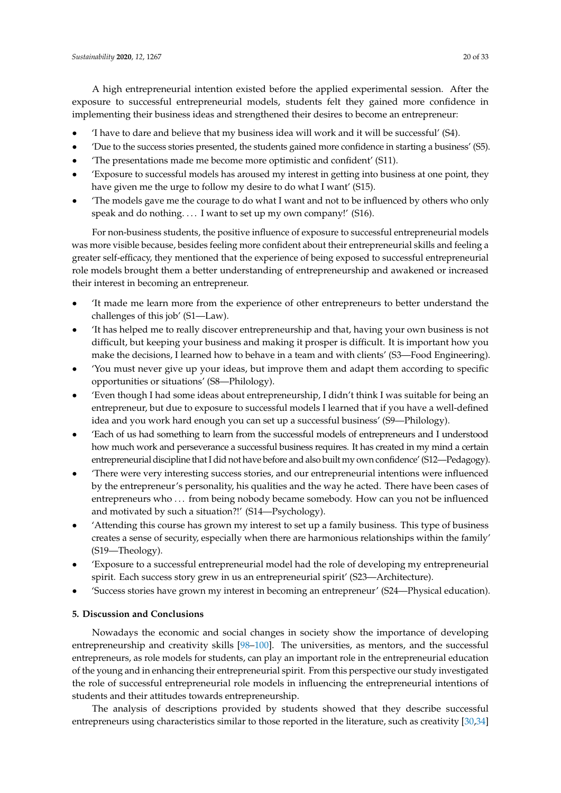A high entrepreneurial intention existed before the applied experimental session. After the exposure to successful entrepreneurial models, students felt they gained more confidence in implementing their business ideas and strengthened their desires to become an entrepreneur:

- 'I have to dare and believe that my business idea will work and it will be successful' (S4).
- 'Due to the success stories presented, the students gained more confidence in starting a business' (S5).
- 'The presentations made me become more optimistic and confident' (S11).
- 'Exposure to successful models has aroused my interest in getting into business at one point, they have given me the urge to follow my desire to do what I want' (S15).
- 'The models gave me the courage to do what I want and not to be influenced by others who only speak and do nothing. ... I want to set up my own company!' (S16).

For non-business students, the positive influence of exposure to successful entrepreneurial models was more visible because, besides feeling more confident about their entrepreneurial skills and feeling a greater self-efficacy, they mentioned that the experience of being exposed to successful entrepreneurial role models brought them a better understanding of entrepreneurship and awakened or increased their interest in becoming an entrepreneur.

- 'It made me learn more from the experience of other entrepreneurs to better understand the challenges of this job' (S1—Law).
- 'It has helped me to really discover entrepreneurship and that, having your own business is not difficult, but keeping your business and making it prosper is difficult. It is important how you make the decisions, I learned how to behave in a team and with clients' (S3—Food Engineering).
- 'You must never give up your ideas, but improve them and adapt them according to specific opportunities or situations' (S8—Philology).
- 'Even though I had some ideas about entrepreneurship, I didn't think I was suitable for being an entrepreneur, but due to exposure to successful models I learned that if you have a well-defined idea and you work hard enough you can set up a successful business' (S9—Philology).
- 'Each of us had something to learn from the successful models of entrepreneurs and I understood how much work and perseverance a successful business requires. It has created in my mind a certain entrepreneurial discipline that I did not have before and also built my own confidence' (S12—Pedagogy).
- 'There were very interesting success stories, and our entrepreneurial intentions were influenced by the entrepreneur's personality, his qualities and the way he acted. There have been cases of entrepreneurs who . . . from being nobody became somebody. How can you not be influenced and motivated by such a situation?!' (S14—Psychology).
- 'Attending this course has grown my interest to set up a family business. This type of business creates a sense of security, especially when there are harmonious relationships within the family' (S19—Theology).
- 'Exposure to a successful entrepreneurial model had the role of developing my entrepreneurial spirit. Each success story grew in us an entrepreneurial spirit' (S23—Architecture).
- 'Success stories have grown my interest in becoming an entrepreneur' (S24—Physical education).

### **5. Discussion and Conclusions**

Nowadays the economic and social changes in society show the importance of developing entrepreneurship and creativity skills [\[98](#page-31-19)[–100\]](#page-31-20). The universities, as mentors, and the successful entrepreneurs, as role models for students, can play an important role in the entrepreneurial education of the young and in enhancing their entrepreneurial spirit. From this perspective our study investigated the role of successful entrepreneurial role models in influencing the entrepreneurial intentions of students and their attitudes towards entrepreneurship.

The analysis of descriptions provided by students showed that they describe successful entrepreneurs using characteristics similar to those reported in the literature, such as creativity [\[30,](#page-29-4)[34\]](#page-29-8)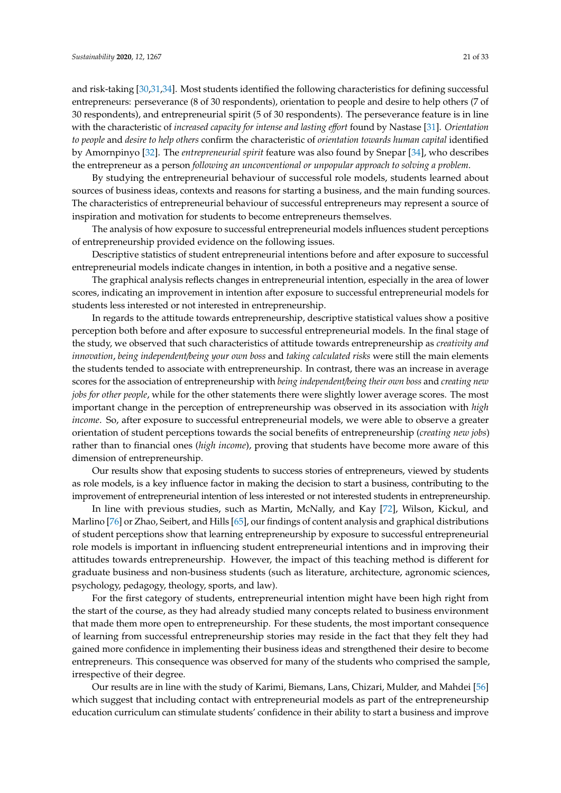and risk-taking [\[30,](#page-29-4)[31,](#page-29-5)[34\]](#page-29-8). Most students identified the following characteristics for defining successful entrepreneurs: perseverance (8 of 30 respondents), orientation to people and desire to help others (7 of 30 respondents), and entrepreneurial spirit (5 of 30 respondents). The perseverance feature is in line with the characteristic of *increased capacity for intense and lasting e*ff*ort* found by Nastase [\[31\]](#page-29-5). *Orientation to people* and *desire to help others* confirm the characteristic of *orientation towards human capital* identified by Amornpinyo [\[32\]](#page-29-6). The *entrepreneurial spirit* feature was also found by Snepar [\[34\]](#page-29-8), who describes the entrepreneur as a person *following an unconventional or unpopular approach to solving a problem*.

By studying the entrepreneurial behaviour of successful role models, students learned about sources of business ideas, contexts and reasons for starting a business, and the main funding sources. The characteristics of entrepreneurial behaviour of successful entrepreneurs may represent a source of inspiration and motivation for students to become entrepreneurs themselves.

The analysis of how exposure to successful entrepreneurial models influences student perceptions of entrepreneurship provided evidence on the following issues.

Descriptive statistics of student entrepreneurial intentions before and after exposure to successful entrepreneurial models indicate changes in intention, in both a positive and a negative sense.

The graphical analysis reflects changes in entrepreneurial intention, especially in the area of lower scores, indicating an improvement in intention after exposure to successful entrepreneurial models for students less interested or not interested in entrepreneurship.

In regards to the attitude towards entrepreneurship, descriptive statistical values show a positive perception both before and after exposure to successful entrepreneurial models. In the final stage of the study, we observed that such characteristics of attitude towards entrepreneurship as *creativity and innovation*, *being independent*/*being your own boss* and *taking calculated risks* were still the main elements the students tended to associate with entrepreneurship. In contrast, there was an increase in average scores for the association of entrepreneurship with *being independent*/*being their own boss* and *creating new jobs for other people*, while for the other statements there were slightly lower average scores. The most important change in the perception of entrepreneurship was observed in its association with *high income*. So, after exposure to successful entrepreneurial models, we were able to observe a greater orientation of student perceptions towards the social benefits of entrepreneurship (*creating new jobs*) rather than to financial ones (*high income*), proving that students have become more aware of this dimension of entrepreneurship.

Our results show that exposing students to success stories of entrepreneurs, viewed by students as role models, is a key influence factor in making the decision to start a business, contributing to the improvement of entrepreneurial intention of less interested or not interested students in entrepreneurship.

In line with previous studies, such as Martin, McNally, and Kay [\[72\]](#page-30-16), Wilson, Kickul, and Marlino [\[76\]](#page-30-20) or Zhao, Seibert, and Hills [\[65\]](#page-30-10), our findings of content analysis and graphical distributions of student perceptions show that learning entrepreneurship by exposure to successful entrepreneurial role models is important in influencing student entrepreneurial intentions and in improving their attitudes towards entrepreneurship. However, the impact of this teaching method is different for graduate business and non-business students (such as literature, architecture, agronomic sciences, psychology, pedagogy, theology, sports, and law).

For the first category of students, entrepreneurial intention might have been high right from the start of the course, as they had already studied many concepts related to business environment that made them more open to entrepreneurship. For these students, the most important consequence of learning from successful entrepreneurship stories may reside in the fact that they felt they had gained more confidence in implementing their business ideas and strengthened their desire to become entrepreneurs. This consequence was observed for many of the students who comprised the sample, irrespective of their degree.

Our results are in line with the study of Karimi, Biemans, Lans, Chizari, Mulder, and Mahdei [\[56\]](#page-30-1) which suggest that including contact with entrepreneurial models as part of the entrepreneurship education curriculum can stimulate students' confidence in their ability to start a business and improve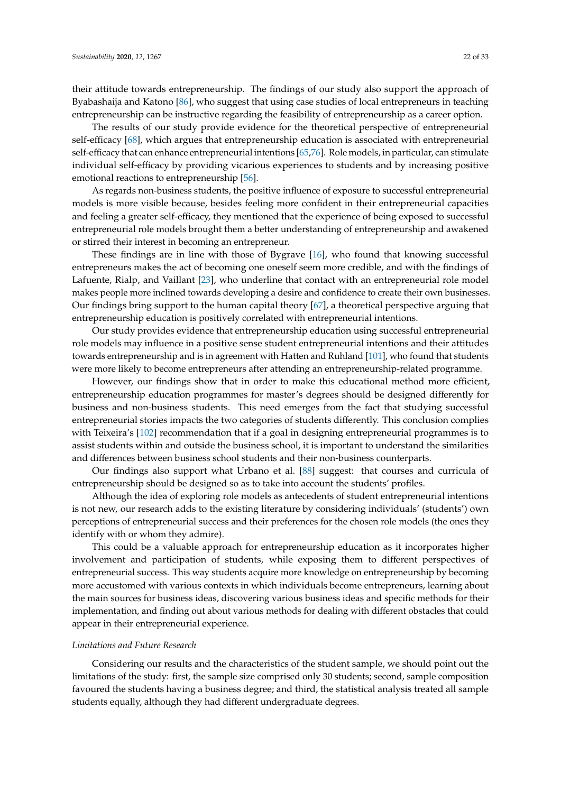their attitude towards entrepreneurship. The findings of our study also support the approach of Byabashaija and Katono [\[86\]](#page-31-7), who suggest that using case studies of local entrepreneurs in teaching entrepreneurship can be instructive regarding the feasibility of entrepreneurship as a career option.

The results of our study provide evidence for the theoretical perspective of entrepreneurial self-efficacy [\[68\]](#page-30-13), which argues that entrepreneurship education is associated with entrepreneurial self-efficacy that can enhance entrepreneurial intentions [\[65,](#page-30-10)[76\]](#page-30-20). Role models, in particular, can stimulate individual self-efficacy by providing vicarious experiences to students and by increasing positive emotional reactions to entrepreneurship [\[56\]](#page-30-1).

As regards non-business students, the positive influence of exposure to successful entrepreneurial models is more visible because, besides feeling more confident in their entrepreneurial capacities and feeling a greater self-efficacy, they mentioned that the experience of being exposed to successful entrepreneurial role models brought them a better understanding of entrepreneurship and awakened or stirred their interest in becoming an entrepreneur.

These findings are in line with those of Bygrave [\[16\]](#page-28-17), who found that knowing successful entrepreneurs makes the act of becoming one oneself seem more credible, and with the findings of Lafuente, Rialp, and Vaillant [\[23\]](#page-28-14), who underline that contact with an entrepreneurial role model makes people more inclined towards developing a desire and confidence to create their own businesses. Our findings bring support to the human capital theory [\[67\]](#page-30-12), a theoretical perspective arguing that entrepreneurship education is positively correlated with entrepreneurial intentions.

Our study provides evidence that entrepreneurship education using successful entrepreneurial role models may influence in a positive sense student entrepreneurial intentions and their attitudes towards entrepreneurship and is in agreement with Hatten and Ruhland [\[101\]](#page-32-0), who found that students were more likely to become entrepreneurs after attending an entrepreneurship-related programme.

However, our findings show that in order to make this educational method more efficient, entrepreneurship education programmes for master's degrees should be designed differently for business and non-business students. This need emerges from the fact that studying successful entrepreneurial stories impacts the two categories of students differently. This conclusion complies with Teixeira's [\[102\]](#page-32-1) recommendation that if a goal in designing entrepreneurial programmes is to assist students within and outside the business school, it is important to understand the similarities and differences between business school students and their non-business counterparts.

Our findings also support what Urbano et al. [\[88\]](#page-31-9) suggest: that courses and curricula of entrepreneurship should be designed so as to take into account the students' profiles.

Although the idea of exploring role models as antecedents of student entrepreneurial intentions is not new, our research adds to the existing literature by considering individuals' (students') own perceptions of entrepreneurial success and their preferences for the chosen role models (the ones they identify with or whom they admire).

This could be a valuable approach for entrepreneurship education as it incorporates higher involvement and participation of students, while exposing them to different perspectives of entrepreneurial success. This way students acquire more knowledge on entrepreneurship by becoming more accustomed with various contexts in which individuals become entrepreneurs, learning about the main sources for business ideas, discovering various business ideas and specific methods for their implementation, and finding out about various methods for dealing with different obstacles that could appear in their entrepreneurial experience.

#### *Limitations and Future Research*

Considering our results and the characteristics of the student sample, we should point out the limitations of the study: first, the sample size comprised only 30 students; second, sample composition favoured the students having a business degree; and third, the statistical analysis treated all sample students equally, although they had different undergraduate degrees.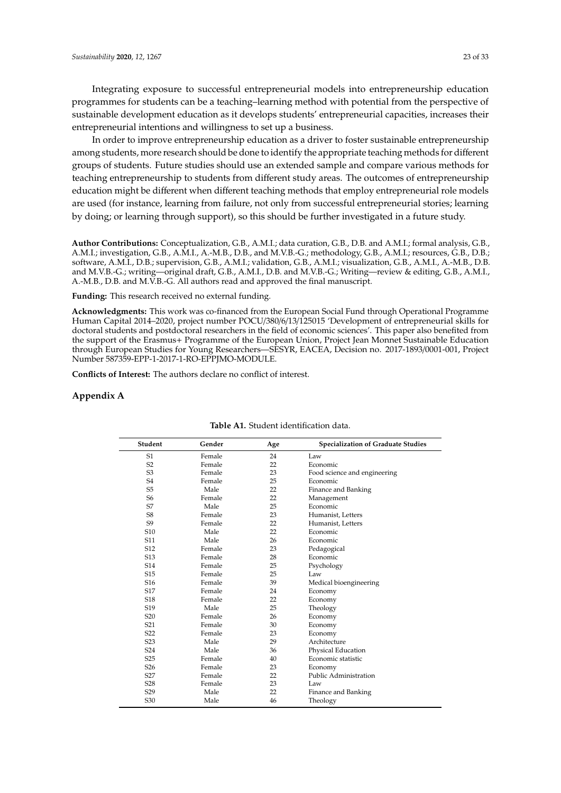Integrating exposure to successful entrepreneurial models into entrepreneurship education programmes for students can be a teaching–learning method with potential from the perspective of sustainable development education as it develops students' entrepreneurial capacities, increases their entrepreneurial intentions and willingness to set up a business.

In order to improve entrepreneurship education as a driver to foster sustainable entrepreneurship among students, more research should be done to identify the appropriate teaching methods for different groups of students. Future studies should use an extended sample and compare various methods for teaching entrepreneurship to students from different study areas. The outcomes of entrepreneurship education might be different when different teaching methods that employ entrepreneurial role models are used (for instance, learning from failure, not only from successful entrepreneurial stories; learning by doing; or learning through support), so this should be further investigated in a future study.

**Author Contributions:** Conceptualization, G.B., A.M.I.; data curation, G.B., D.B. and A.M.I.; formal analysis, G.B., A.M.I.; investigation, G.B., A.M.I., A.-M.B., D.B., and M.V.B.-G.; methodology, G.B., A.M.I.; resources, G.B., D.B.; software, A.M.I., D.B.; supervision, G.B., A.M.I.; validation, G.B., A.M.I.; visualization, G.B., A.M.I., A.-M.B., D.B. and M.V.B.-G.; writing—original draft, G.B., A.M.I., D.B. and M.V.B.-G.; Writing—review & editing, G.B., A.M.I., A.-M.B., D.B. and M.V.B.-G. All authors read and approved the final manuscript.

**Funding:** This research received no external funding.

**Acknowledgments:** This work was co-financed from the European Social Fund through Operational Programme Human Capital 2014–2020, project number POCU/380/6/13/125015 'Development of entrepreneurial skills for doctoral students and postdoctoral researchers in the field of economic sciences'. This paper also benefited from the support of the Erasmus+ Programme of the European Union, Project Jean Monnet Sustainable Education through European Studies for Young Researchers—SESYR, EACEA, Decision no. 2017-1893/0001-001, Project Number 587359-EPP-1-2017-1-RO-EPPJMO-MODULE.

**Conflicts of Interest:** The authors declare no conflict of interest.

#### <span id="page-22-0"></span>**Appendix A**

| Student          | Gender | Age | <b>Specialization of Graduate Studies</b> |
|------------------|--------|-----|-------------------------------------------|
| S1               | Female | 24  | Law                                       |
| S2               | Female | 22  | Economic                                  |
| S3               | Female | 23  | Food science and engineering              |
| S <sub>4</sub>   | Female | 25  | Economic                                  |
| S5               | Male   | 22  | Finance and Banking                       |
| S <sub>6</sub>   | Female | 22  | Management                                |
| S7               | Male   | 25  | Economic                                  |
| S8               | Female | 23  | Humanist, Letters                         |
| S9               | Female | 22  | Humanist, Letters                         |
| S <sub>10</sub>  | Male   | 22  | Economic                                  |
| S11              | Male   | 26  | Economic                                  |
| S <sub>12</sub>  | Female | 23  | Pedagogical                               |
| S <sub>13</sub>  | Female | 28  | Economic                                  |
| S14              | Female | 25  | Psychology                                |
| S <sub>15</sub>  | Female | 25  | Law                                       |
| S <sub>16</sub>  | Female | 39  | Medical bioengineering                    |
| S <sub>17</sub>  | Female | 24  | Economy                                   |
| S <sub>18</sub>  | Female | 22  | Economy                                   |
| S <sub>19</sub>  | Male   | 25  | Theology                                  |
| S <sub>20</sub>  | Female | 26  | Economy                                   |
| S <sub>21</sub>  | Female | 30  | Economy                                   |
| S <sub>22</sub>  | Female | 23  | Economy                                   |
| S <sub>2</sub> 3 | Male   | 29  | Architecture                              |
| S <sub>24</sub>  | Male   | 36  | Physical Education                        |
| S <sub>25</sub>  | Female | 40  | Economic statistic                        |
| S <sub>26</sub>  | Female | 23  | Economy                                   |
| S <sub>27</sub>  | Female | 22  | Public Administration                     |
| S <sub>28</sub>  | Female | 23  | Law                                       |
| S <sub>29</sub>  | Male   | 22  | Finance and Banking                       |
| S30              | Male   | 46  | Theology                                  |

#### **Table A1.** Student identification data.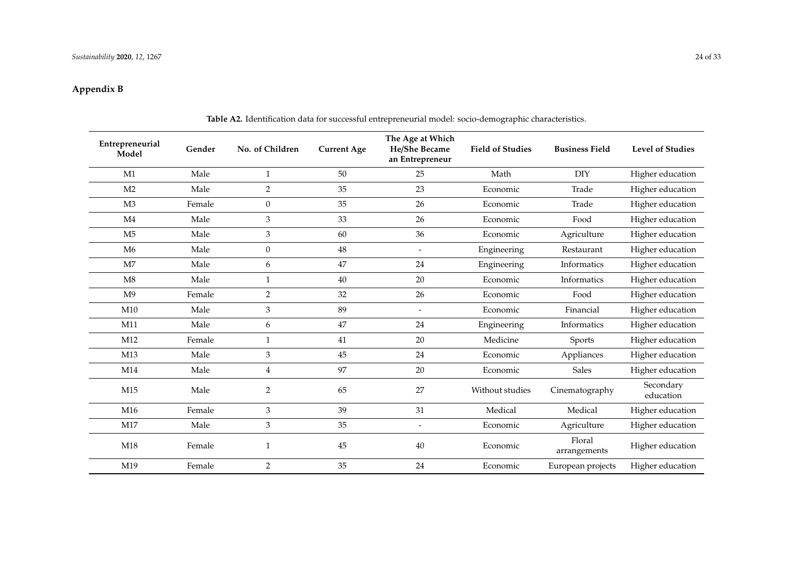# **Appendix B**

<span id="page-23-0"></span>

| Entrepreneurial<br>Model | Gender | No. of Children | <b>Current Age</b> | The Age at Which<br><b>He/She Became</b><br>an Entrepreneur | <b>Field of Studies</b> | <b>Business Field</b>  | <b>Level of Studies</b> |
|--------------------------|--------|-----------------|--------------------|-------------------------------------------------------------|-------------------------|------------------------|-------------------------|
| M1                       | Male   | 1               | 50                 | 25                                                          | Math                    | <b>DIY</b>             | Higher education        |
| M <sub>2</sub>           | Male   | $\overline{2}$  | 35                 | 23                                                          | Economic                | Trade                  | Higher education        |
| M <sub>3</sub>           | Female | $\overline{0}$  | 35                 | 26                                                          | Economic                | Trade                  | Higher education        |
| M <sub>4</sub>           | Male   | 3               | 33                 | 26                                                          | Economic                | Food                   | Higher education        |
| M <sub>5</sub>           | Male   | 3               | 60                 | 36                                                          | Economic                | Agriculture            | Higher education        |
| M6                       | Male   | $\mathbf{0}$    | 48                 | $\overline{\phantom{a}}$                                    | Engineering             | Restaurant             | Higher education        |
| M <sub>7</sub>           | Male   | 6               | 47                 | 24                                                          | Engineering             | Informatics            | Higher education        |
| M8                       | Male   | $\mathbf{1}$    | 40                 | 20                                                          | Economic                | Informatics            | Higher education        |
| M <sup>9</sup>           | Female | 2               | 32                 | 26                                                          | Economic                | Food                   | Higher education        |
| M10                      | Male   | 3               | 89                 | $\overline{\phantom{a}}$                                    | Economic                | Financial              | Higher education        |
| M11                      | Male   | 6               | 47                 | 24                                                          | Engineering             | Informatics            | Higher education        |
| M12                      | Female | $\mathbf{1}$    | 41                 | 20                                                          | Medicine                | Sports                 | Higher education        |
| M13                      | Male   | $\mathfrak{Z}$  | 45                 | 24                                                          | Economic                | Appliances             | Higher education        |
| M14                      | Male   | 4               | 97                 | 20                                                          | Economic                | <b>Sales</b>           | Higher education        |
| M15                      | Male   | 2               | 65                 | 27                                                          | Without studies         | Cinematography         | Secondary<br>education  |
| M16                      | Female | $\mathfrak{Z}$  | 39                 | 31                                                          | Medical                 | Medical                | Higher education        |
| M17                      | Male   | 3               | 35                 | $\overline{\phantom{a}}$                                    | Economic                | Agriculture            | Higher education        |
| M18                      | Female |                 | 45                 | 40                                                          | Economic                | Floral<br>arrangements | Higher education        |
| M19                      | Female | $\overline{2}$  | 35                 | 24                                                          | Economic                | European projects      | Higher education        |

**Table A2.** Identification data for successful entrepreneurial model: socio-demographic characteristics.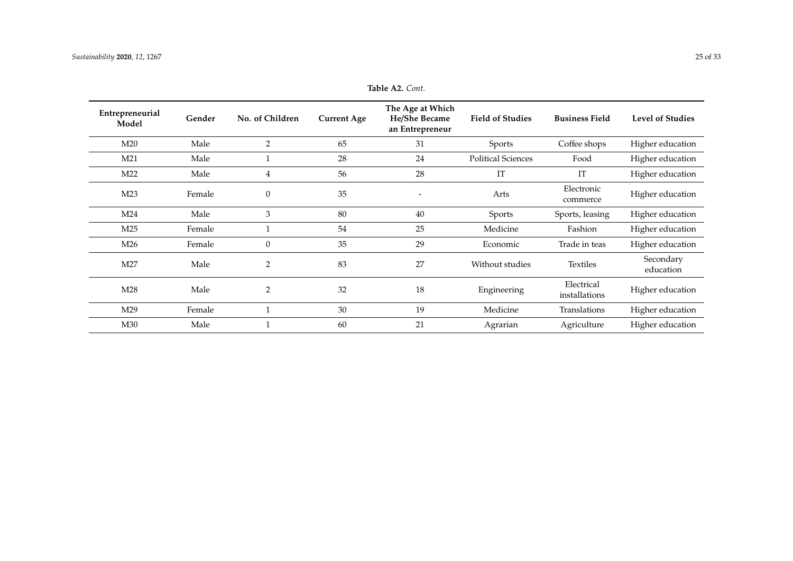| Entrepreneurial<br>Model | Gender | No. of Children | <b>Current Age</b> | The Age at Which<br>He/She Became<br>an Entrepreneur | <b>Field of Studies</b>   | <b>Business Field</b>       | <b>Level of Studies</b> |
|--------------------------|--------|-----------------|--------------------|------------------------------------------------------|---------------------------|-----------------------------|-------------------------|
| M20                      | Male   | 2               | 65                 | 31                                                   | Sports                    | Coffee shops                | Higher education        |
| M21                      | Male   |                 | 28                 | 24                                                   | <b>Political Sciences</b> | Food                        | Higher education        |
| M22                      | Male   | $\overline{4}$  | 56                 | 28                                                   | IT                        | IT                          | Higher education        |
| M23                      | Female | $\theta$        | 35                 | $\overline{\phantom{m}}$                             | Arts                      | Electronic<br>commerce      | Higher education        |
| M24                      | Male   | 3               | 80                 | 40                                                   | Sports                    | Sports, leasing             | Higher education        |
| M25                      | Female |                 | 54                 | 25                                                   | Medicine                  | Fashion                     | Higher education        |
| M26                      | Female | $\Omega$        | 35                 | 29                                                   | Economic                  | Trade in teas               | Higher education        |
| M27                      | Male   | $\overline{2}$  | 83                 | 27                                                   | Without studies           | Textiles                    | Secondary<br>education  |
| M28                      | Male   | 2               | 32                 | $18\,$                                               | Engineering               | Electrical<br>installations | Higher education        |
| M29                      | Female |                 | 30                 | 19                                                   | Medicine                  | Translations                | Higher education        |
| M30                      | Male   |                 | 60                 | 21                                                   | Agrarian                  | Agriculture                 | Higher education        |

**Table A2.** *Cont.*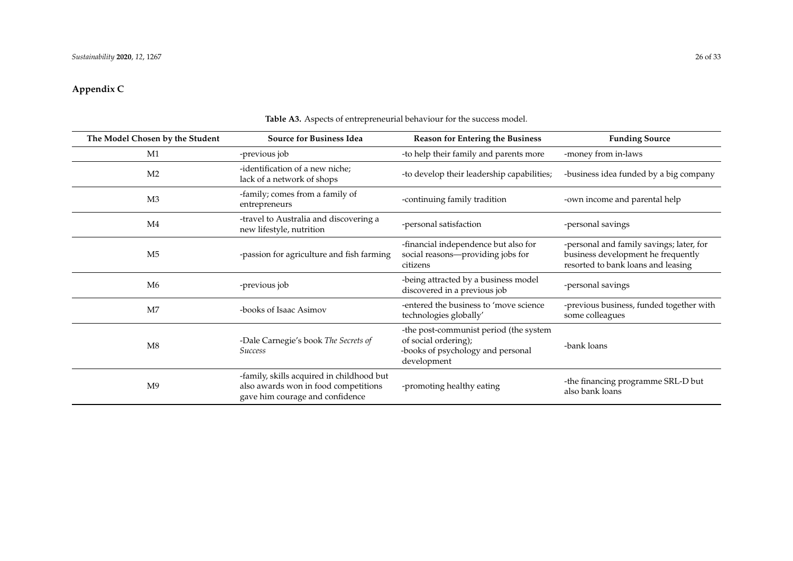# **Appendix C**

<span id="page-25-0"></span>

| The Model Chosen by the Student | <b>Source for Business Idea</b>                                                                                      | <b>Reason for Entering the Business</b>                                                                            | <b>Funding Source</b>                                                                                                |
|---------------------------------|----------------------------------------------------------------------------------------------------------------------|--------------------------------------------------------------------------------------------------------------------|----------------------------------------------------------------------------------------------------------------------|
| M1                              | -previous job                                                                                                        | -to help their family and parents more                                                                             | -money from in-laws                                                                                                  |
| M <sub>2</sub>                  | -identification of a new niche;<br>lack of a network of shops                                                        | -to develop their leadership capabilities;                                                                         | -business idea funded by a big company                                                                               |
| M <sub>3</sub>                  | -family; comes from a family of<br>entrepreneurs                                                                     | -continuing family tradition                                                                                       | -own income and parental help                                                                                        |
| M4                              | -travel to Australia and discovering a<br>new lifestyle, nutrition                                                   | -personal satisfaction                                                                                             | -personal savings                                                                                                    |
| M <sub>5</sub>                  | -passion for agriculture and fish farming                                                                            | -financial independence but also for<br>social reasons-providing jobs for<br>citizens                              | -personal and family savings; later, for<br>business development he frequently<br>resorted to bank loans and leasing |
| M6                              | -previous job                                                                                                        | -being attracted by a business model<br>discovered in a previous job                                               | -personal savings                                                                                                    |
| M <sub>7</sub>                  | -books of Isaac Asimov                                                                                               | -entered the business to 'move science<br>technologies globally'                                                   | -previous business, funded together with<br>some colleagues                                                          |
| M8                              | -Dale Carnegie's book The Secrets of<br>Success                                                                      | -the post-communist period (the system<br>of social ordering);<br>-books of psychology and personal<br>development | -bank loans                                                                                                          |
| M <sup>9</sup>                  | -family, skills acquired in childhood but<br>also awards won in food competitions<br>gave him courage and confidence | -promoting healthy eating                                                                                          | -the financing programme SRL-D but<br>also bank loans                                                                |

# **Table A3.** Aspects of entrepreneurial behaviour for the success model.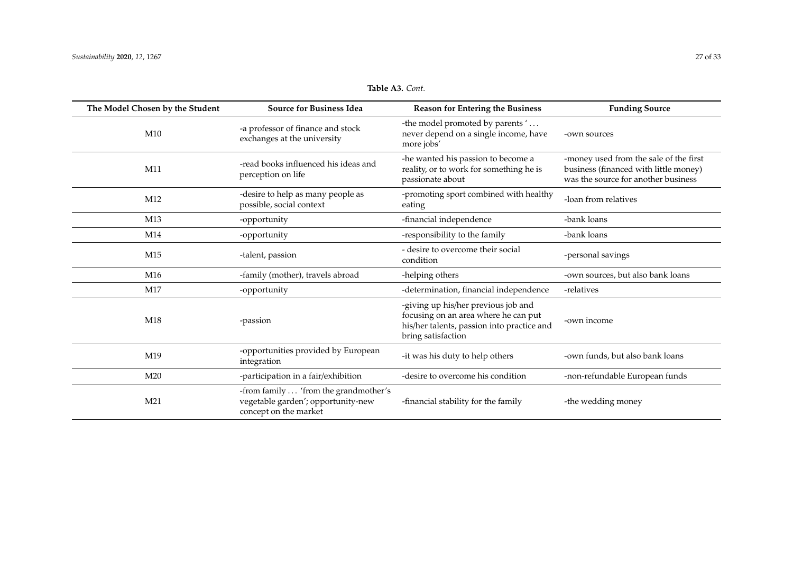| The Model Chosen by the Student | <b>Source for Business Idea</b>                                                                      | <b>Reason for Entering the Business</b>                                                                                                         | <b>Funding Source</b>                                                                                                  |
|---------------------------------|------------------------------------------------------------------------------------------------------|-------------------------------------------------------------------------------------------------------------------------------------------------|------------------------------------------------------------------------------------------------------------------------|
| M10                             | -a professor of finance and stock<br>exchanges at the university                                     | -the model promoted by parents '<br>never depend on a single income, have<br>more jobs'                                                         | -own sources                                                                                                           |
| M11                             | -read books influenced his ideas and<br>perception on life                                           | -he wanted his passion to become a<br>reality, or to work for something he is<br>passionate about                                               | -money used from the sale of the first<br>business (financed with little money)<br>was the source for another business |
| M12                             | -desire to help as many people as<br>possible, social context                                        | -promoting sport combined with healthy<br>eating                                                                                                | -loan from relatives                                                                                                   |
| M13                             | -opportunity                                                                                         | -financial independence                                                                                                                         | -bank loans                                                                                                            |
| M14                             | -opportunity                                                                                         | -responsibility to the family                                                                                                                   | -bank loans                                                                                                            |
| M15                             | -talent, passion                                                                                     | - desire to overcome their social<br>condition                                                                                                  | -personal savings                                                                                                      |
| M16                             | -family (mother), travels abroad                                                                     | -helping others                                                                                                                                 | -own sources, but also bank loans                                                                                      |
| M17                             | -opportunity                                                                                         | -determination, financial independence                                                                                                          | -relatives                                                                                                             |
| M18                             | -passion                                                                                             | -giving up his/her previous job and<br>focusing on an area where he can put<br>his/her talents, passion into practice and<br>bring satisfaction | -own income                                                                                                            |
| M19                             | -opportunities provided by European<br>integration                                                   | -it was his duty to help others                                                                                                                 | -own funds, but also bank loans                                                                                        |
| M <sub>20</sub>                 | -participation in a fair/exhibition                                                                  | -desire to overcome his condition                                                                                                               | -non-refundable European funds                                                                                         |
| M21                             | -from family  'from the grandmother's<br>vegetable garden'; opportunity-new<br>concept on the market | -financial stability for the family                                                                                                             | -the wedding money                                                                                                     |

**Table A3.** *Cont.*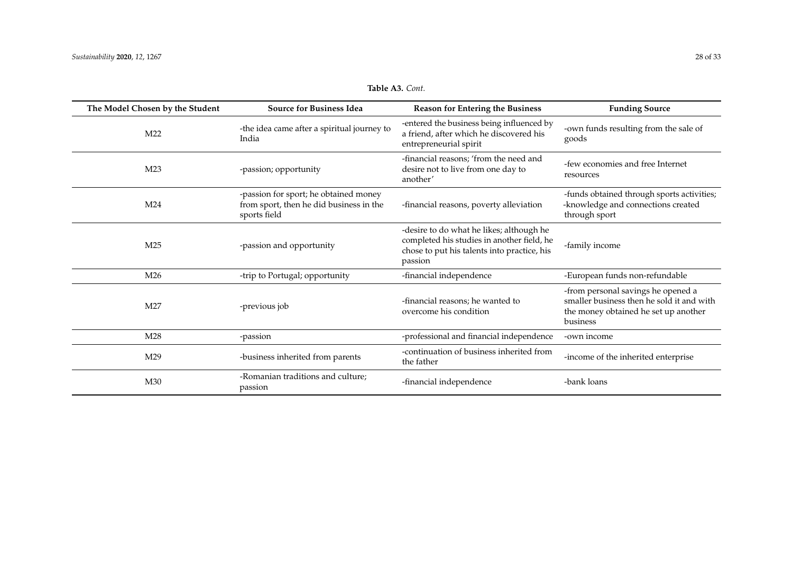| The Model Chosen by the Student | <b>Source for Business Idea</b>                                                                  | <b>Reason for Entering the Business</b>                                                                                                          | <b>Funding Source</b>                                                                                                               |
|---------------------------------|--------------------------------------------------------------------------------------------------|--------------------------------------------------------------------------------------------------------------------------------------------------|-------------------------------------------------------------------------------------------------------------------------------------|
| M22                             | -the idea came after a spiritual journey to<br>India                                             | -entered the business being influenced by<br>a friend, after which he discovered his<br>entrepreneurial spirit                                   | -own funds resulting from the sale of<br>goods                                                                                      |
| M <sub>23</sub>                 | -passion; opportunity                                                                            | -financial reasons; 'from the need and<br>desire not to live from one day to<br>another'                                                         | -few economies and free Internet<br>resources                                                                                       |
| M24                             | -passion for sport; he obtained money<br>from sport, then he did business in the<br>sports field | -financial reasons, poverty alleviation                                                                                                          | -funds obtained through sports activities;<br>-knowledge and connections created<br>through sport                                   |
| M25                             | -passion and opportunity                                                                         | -desire to do what he likes; although he<br>completed his studies in another field, he<br>chose to put his talents into practice, his<br>passion | -family income                                                                                                                      |
| M26                             | -trip to Portugal; opportunity                                                                   | -financial independence                                                                                                                          | -European funds non-refundable                                                                                                      |
| M27                             | -previous job                                                                                    | -financial reasons; he wanted to<br>overcome his condition                                                                                       | -from personal savings he opened a<br>smaller business then he sold it and with<br>the money obtained he set up another<br>business |
| M28                             | -passion                                                                                         | -professional and financial independence                                                                                                         | -own income                                                                                                                         |
| M29                             | -business inherited from parents                                                                 | -continuation of business inherited from<br>the father                                                                                           | -income of the inherited enterprise                                                                                                 |
| M30                             | -Romanian traditions and culture;<br>passion                                                     | -financial independence                                                                                                                          | -bank loans                                                                                                                         |

### **Table A3.** *Cont.*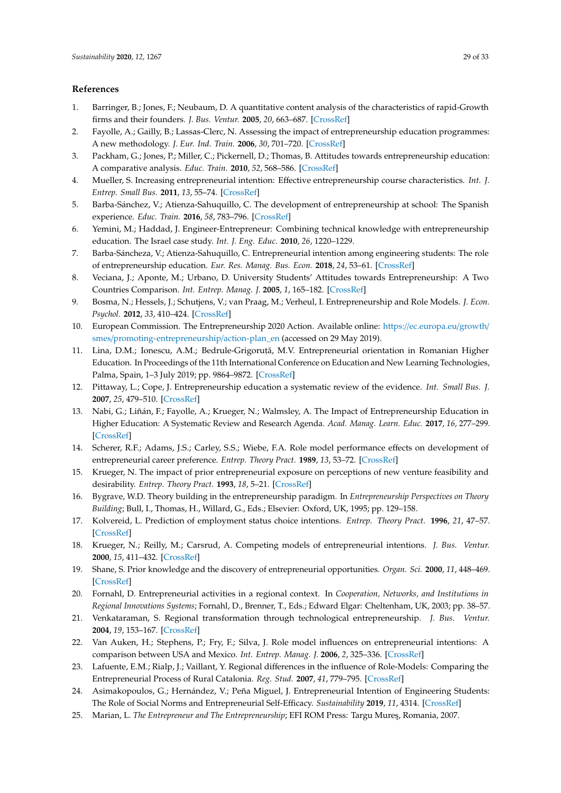### **References**

- <span id="page-28-0"></span>1. Barringer, B.; Jones, F.; Neubaum, D. A quantitative content analysis of the characteristics of rapid-Growth firms and their founders. *J. Bus. Ventur.* **2005**, *20*, 663–687. [\[CrossRef\]](http://dx.doi.org/10.1016/j.jbusvent.2004.03.004)
- <span id="page-28-19"></span>2. Fayolle, A.; Gailly, B.; Lassas-Clerc, N. Assessing the impact of entrepreneurship education programmes: A new methodology. *J. Eur. Ind. Train.* **2006**, *30*, 701–720. [\[CrossRef\]](http://dx.doi.org/10.1108/03090590610715022)
- 3. Packham, G.; Jones, P.; Miller, C.; Pickernell, D.; Thomas, B. Attitudes towards entrepreneurship education: A comparative analysis. *Educ. Train.* **2010**, *52*, 568–586. [\[CrossRef\]](http://dx.doi.org/10.1108/00400911011088926)
- 4. Mueller, S. Increasing entrepreneurial intention: Effective entrepreneurship course characteristics. *Int. J. Entrep. Small Bus.* **2011**, *13*, 55–74. [\[CrossRef\]](http://dx.doi.org/10.1504/IJESB.2011.040416)
- <span id="page-28-1"></span>5. Barba-Sánchez, V.; Atienza-Sahuquillo, C. The development of entrepreneurship at school: The Spanish experience. *Educ. Train.* **2016**, *58*, 783–796. [\[CrossRef\]](http://dx.doi.org/10.1108/ET-01-2016-0021)
- <span id="page-28-2"></span>6. Yemini, M.; Haddad, J. Engineer-Entrepreneur: Combining technical knowledge with entrepreneurship education. The Israel case study. *Int. J. Eng. Educ.* **2010**, *26*, 1220–1229.
- <span id="page-28-3"></span>7. Barba-Sáncheza, V.; Atienza-Sahuquillo, C. Entrepreneurial intention among engineering students: The role of entrepreneurship education. *Eur. Res. Manag. Bus. Econ.* **2018**, *24*, 53–61. [\[CrossRef\]](http://dx.doi.org/10.1016/j.iedeen.2017.04.001)
- <span id="page-28-4"></span>8. Veciana, J.; Aponte, M.; Urbano, D. University Students' Attitudes towards Entrepreneurship: A Two Countries Comparison. *Int. Entrep. Manag. J.* **2005**, *1*, 165–182. [\[CrossRef\]](http://dx.doi.org/10.1007/s11365-005-1127-5)
- <span id="page-28-5"></span>9. Bosma, N.; Hessels, J.; Schutjens, V.; van Praag, M.; Verheul, I. Entrepreneurship and Role Models. *J. Econ. Psychol.* **2012**, *33*, 410–424. [\[CrossRef\]](http://dx.doi.org/10.1016/j.joep.2011.03.004)
- <span id="page-28-6"></span>10. European Commission. The Entrepreneurship 2020 Action. Available online: https://[ec.europa.eu](https://ec.europa.eu/growth/smes/promoting-entrepreneurship/action-plan_en)/growth/ smes/[promoting-entrepreneurship](https://ec.europa.eu/growth/smes/promoting-entrepreneurship/action-plan_en)/action-plan\_en (accessed on 29 May 2019).
- <span id="page-28-7"></span>11. Lina, D.M.; Ionescu, A.M.; Bedrule-Grigoruță, M.V. Entrepreneurial orientation in Romanian Higher Education. In Proceedings of the 11th International Conference on Education and New Learning Technologies, Palma, Spain, 1–3 July 2019; pp. 9864–9872. [\[CrossRef\]](http://dx.doi.org/10.21125/edulearn.2019.2458)
- <span id="page-28-8"></span>12. Pittaway, L.; Cope, J. Entrepreneurship education a systematic review of the evidence. *Int. Small Bus. J.* **2007**, *25*, 479–510. [\[CrossRef\]](http://dx.doi.org/10.1177/0266242607080656)
- <span id="page-28-9"></span>13. Nabi, G.; Liñán, F.; Fayolle, A.; Krueger, N.; Walmsley, A. The Impact of Entrepreneurship Education in Higher Education: A Systematic Review and Research Agenda. *Acad. Manag. Learn. Educ.* **2017**, *16*, 277–299. [\[CrossRef\]](http://dx.doi.org/10.5465/amle.2015.0026)
- <span id="page-28-10"></span>14. Scherer, R.F.; Adams, J.S.; Carley, S.S.; Wiebe, F.A. Role model performance effects on development of entrepreneurial career preference. *Entrep. Theory Pract.* **1989**, *13*, 53–72. [\[CrossRef\]](http://dx.doi.org/10.1177/104225878901300306)
- <span id="page-28-21"></span>15. Krueger, N. The impact of prior entrepreneurial exposure on perceptions of new venture feasibility and desirability. *Entrep. Theory Pract.* **1993**, *18*, 5–21. [\[CrossRef\]](http://dx.doi.org/10.1177/104225879301800101)
- <span id="page-28-17"></span>16. Bygrave, W.D. Theory building in the entrepreneurship paradigm. In *Entrepreneurship Perspectives on Theory Building*; Bull, I., Thomas, H., Willard, G., Eds.; Elsevier: Oxford, UK, 1995; pp. 129–158.
- <span id="page-28-22"></span>17. Kolvereid, L. Prediction of employment status choice intentions. *Entrep. Theory Pract.* **1996**, *21*, 47–57. [\[CrossRef\]](http://dx.doi.org/10.1177/104225879602100104)
- <span id="page-28-16"></span>18. Krueger, N.; Reilly, M.; Carsrud, A. Competing models of entrepreneurial intentions. *J. Bus. Ventur.* **2000**, *15*, 411–432. [\[CrossRef\]](http://dx.doi.org/10.1016/S0883-9026(98)00033-0)
- <span id="page-28-18"></span>19. Shane, S. Prior knowledge and the discovery of entrepreneurial opportunities. *Organ. Sci.* **2000**, *11*, 448–469. [\[CrossRef\]](http://dx.doi.org/10.1287/orsc.11.4.448.14602)
- <span id="page-28-15"></span>20. Fornahl, D. Entrepreneurial activities in a regional context. In *Cooperation, Networks, and Institutions in Regional Innovations Systems*; Fornahl, D., Brenner, T., Eds.; Edward Elgar: Cheltenham, UK, 2003; pp. 38–57.
- <span id="page-28-13"></span>21. Venkataraman, S. Regional transformation through technological entrepreneurship. *J. Bus. Ventur.* **2004**, *19*, 153–167. [\[CrossRef\]](http://dx.doi.org/10.1016/j.jbusvent.2003.04.001)
- <span id="page-28-20"></span>22. Van Auken, H.; Stephens, P.; Fry, F.; Silva, J. Role model influences on entrepreneurial intentions: A comparison between USA and Mexico. *Int. Entrep. Manag. J.* **2006**, *2*, 325–336. [\[CrossRef\]](http://dx.doi.org/10.1007/s11365-006-0004-1)
- <span id="page-28-14"></span>23. Lafuente, E.M.; Rialp, J.; Vaillant, Y. Regional differences in the influence of Role-Models: Comparing the Entrepreneurial Process of Rural Catalonia. *Reg. Stud.* **2007**, *41*, 779–795. [\[CrossRef\]](http://dx.doi.org/10.1080/00343400601120247)
- <span id="page-28-11"></span>24. Asimakopoulos, G.; Hernández, V.; Peña Miguel, J. Entrepreneurial Intention of Engineering Students: The Role of Social Norms and Entrepreneurial Self-Efficacy. *Sustainability* **2019**, *11*, 4314. [\[CrossRef\]](http://dx.doi.org/10.3390/su11164314)
- <span id="page-28-12"></span>25. Marian, L. The Entrepreneur and The Entrepreneurship; EFI ROM Press: Targu Mureş, Romania, 2007.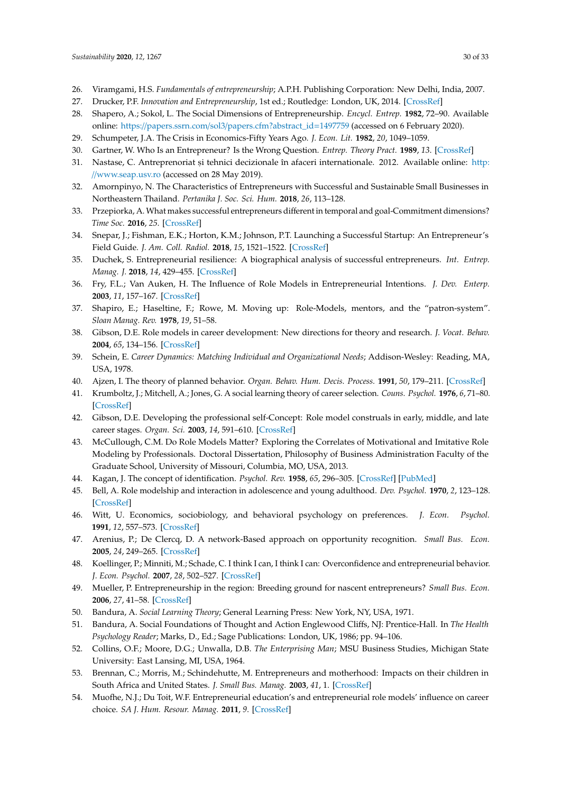- <span id="page-29-0"></span>26. Viramgami, H.S. *Fundamentals of entrepreneurship*; A.P.H. Publishing Corporation: New Delhi, India, 2007.
- <span id="page-29-1"></span>27. Drucker, P.F. *Innovation and Entrepreneurship*, 1st ed.; Routledge: London, UK, 2014. [\[CrossRef\]](http://dx.doi.org/10.4324/9781315747453)
- <span id="page-29-2"></span>28. Shapero, A.; Sokol, L. The Social Dimensions of Entrepreneurship. *Encycl. Entrep.* **1982**, 72–90. Available online: https://papers.ssrn.com/sol3/[papers.cfm?abstract\\_id](https://papers.ssrn.com/sol3/papers.cfm?abstract_id=1497759)=1497759 (accessed on 6 February 2020).
- <span id="page-29-3"></span>29. Schumpeter, J.A. The Crisis in Economics-Fifty Years Ago. *J. Econ. Lit.* **1982**, *20*, 1049–1059.
- <span id="page-29-4"></span>30. Gartner, W. Who Is an Entrepreneur? Is the Wrong Question. *Entrep. Theory Pract.* **1989**, *13*. [\[CrossRef\]](http://dx.doi.org/10.1177/104225878901300406)
- <span id="page-29-5"></span>31. Nastase, C. Antreprenoriat și tehnici decizionale în afaceri internationale. 2012. Available online: [http:](http://www.seap.usv.ro) //[www.seap.usv.ro](http://www.seap.usv.ro) (accessed on 28 May 2019).
- <span id="page-29-6"></span>32. Amornpinyo, N. The Characteristics of Entrepreneurs with Successful and Sustainable Small Businesses in Northeastern Thailand. *Pertanika J. Soc. Sci. Hum.* **2018**, *26*, 113–128.
- <span id="page-29-7"></span>33. Przepiorka, A. What makes successful entrepreneurs different in temporal and goal-Commitment dimensions? *Time Soc.* **2016**, *25*. [\[CrossRef\]](http://dx.doi.org/10.1177/0961463X15577264)
- <span id="page-29-8"></span>34. Snepar, J.; Fishman, E.K.; Horton, K.M.; Johnson, P.T. Launching a Successful Startup: An Entrepreneur's Field Guide. *J. Am. Coll. Radiol.* **2018**, *15*, 1521–1522. [\[CrossRef\]](http://dx.doi.org/10.1016/j.jacr.2018.02.034)
- <span id="page-29-9"></span>35. Duchek, S. Entrepreneurial resilience: A biographical analysis of successful entrepreneurs. *Int. Entrep. Manag. J.* **2018**, *14*, 429–455. [\[CrossRef\]](http://dx.doi.org/10.1007/s11365-017-0467-2)
- <span id="page-29-10"></span>36. Fry, F.L.; Van Auken, H. The Influence of Role Models in Entrepreneurial Intentions. *J. Dev. Enterp.* **2003**, *11*, 157–167. [\[CrossRef\]](http://dx.doi.org/10.1142/S108494670600034)
- <span id="page-29-11"></span>37. Shapiro, E.; Haseltine, F.; Rowe, M. Moving up: Role-Models, mentors, and the "patron-system". *Sloan Manag. Rev.* **1978**, *19*, 51–58.
- <span id="page-29-12"></span>38. Gibson, D.E. Role models in career development: New directions for theory and research. *J. Vocat. Behav.* **2004**, *65*, 134–156. [\[CrossRef\]](http://dx.doi.org/10.1016/S0001-8791(03)00051-4)
- <span id="page-29-13"></span>39. Schein, E. *Career Dynamics: Matching Individual and Organizational Needs*; Addison-Wesley: Reading, MA, USA, 1978.
- <span id="page-29-14"></span>40. Ajzen, I. The theory of planned behavior. *Organ. Behav. Hum. Decis. Process.* **1991**, *50*, 179–211. [\[CrossRef\]](http://dx.doi.org/10.1016/0749-5978(91)90020-T)
- <span id="page-29-15"></span>41. Krumboltz, J.; Mitchell, A.; Jones, G. A social learning theory of career selection. *Couns. Psychol.* **1976**, *6*, 71–80. [\[CrossRef\]](http://dx.doi.org/10.1177/001100007600600117)
- <span id="page-29-16"></span>42. Gibson, D.E. Developing the professional self-Concept: Role model construals in early, middle, and late career stages. *Organ. Sci.* **2003**, *14*, 591–610. [\[CrossRef\]](http://dx.doi.org/10.1287/orsc.14.5.591.16767)
- <span id="page-29-17"></span>43. McCullough, C.M. Do Role Models Matter? Exploring the Correlates of Motivational and Imitative Role Modeling by Professionals. Doctoral Dissertation, Philosophy of Business Administration Faculty of the Graduate School, University of Missouri, Columbia, MO, USA, 2013.
- <span id="page-29-18"></span>44. Kagan, J. The concept of identification. *Psychol. Rev.* **1958**, *65*, 296–305. [\[CrossRef\]](http://dx.doi.org/10.1037/h0041313) [\[PubMed\]](http://www.ncbi.nlm.nih.gov/pubmed/13591457)
- <span id="page-29-19"></span>45. Bell, A. Role modelship and interaction in adolescence and young adulthood. *Dev. Psychol.* **1970**, *2*, 123–128. [\[CrossRef\]](http://dx.doi.org/10.1037/h0028613)
- <span id="page-29-20"></span>46. Witt, U. Economics, sociobiology, and behavioral psychology on preferences. *J. Econ. Psychol.* **1991**, *12*, 557–573. [\[CrossRef\]](http://dx.doi.org/10.1016/0167-4870(91)90001-A)
- <span id="page-29-21"></span>47. Arenius, P.; De Clercq, D. A network-Based approach on opportunity recognition. *Small Bus. Econ.* **2005**, *24*, 249–265. [\[CrossRef\]](http://dx.doi.org/10.1007/s11187-005-1988-6)
- 48. Koellinger, P.; Minniti, M.; Schade, C. I think I can, I think I can: Overconfidence and entrepreneurial behavior. *J. Econ. Psychol.* **2007**, *28*, 502–527. [\[CrossRef\]](http://dx.doi.org/10.1016/j.joep.2006.11.002)
- <span id="page-29-22"></span>49. Mueller, P. Entrepreneurship in the region: Breeding ground for nascent entrepreneurs? *Small Bus. Econ.* **2006**, *27*, 41–58. [\[CrossRef\]](http://dx.doi.org/10.1007/s11187-006-6951-7)
- <span id="page-29-23"></span>50. Bandura, A. *Social Learning Theory*; General Learning Press: New York, NY, USA, 1971.
- <span id="page-29-24"></span>51. Bandura, A. Social Foundations of Thought and Action Englewood Cliffs, NJ: Prentice-Hall. In *The Health Psychology Reader*; Marks, D., Ed.; Sage Publications: London, UK, 1986; pp. 94–106.
- <span id="page-29-25"></span>52. Collins, O.F.; Moore, D.G.; Unwalla, D.B. *The Enterprising Man*; MSU Business Studies, Michigan State University: East Lansing, MI, USA, 1964.
- <span id="page-29-26"></span>53. Brennan, C.; Morris, M.; Schindehutte, M. Entrepreneurs and motherhood: Impacts on their children in South Africa and United States. *J. Small Bus. Manag.* **2003**, *41*, 1. [\[CrossRef\]](http://dx.doi.org/10.1111/1540-627X.00069)
- <span id="page-29-27"></span>54. Muofhe, N.J.; Du Toit, W.F. Entrepreneurial education's and entrepreneurial role models' influence on career choice. *SA J. Hum. Resour. Manag.* **2011**, *9*. [\[CrossRef\]](http://dx.doi.org/10.4102/sajhrm.v9i1.345)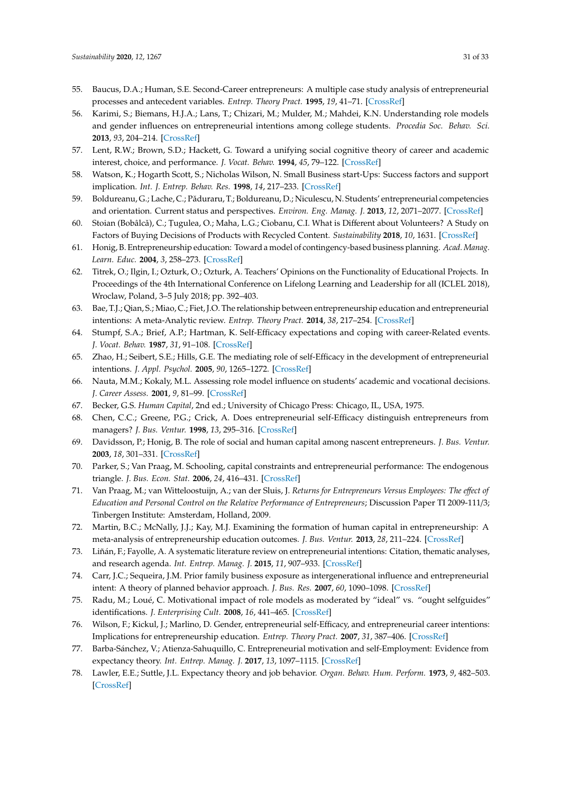- <span id="page-30-0"></span>55. Baucus, D.A.; Human, S.E. Second-Career entrepreneurs: A multiple case study analysis of entrepreneurial processes and antecedent variables. *Entrep. Theory Pract.* **1995**, *19*, 41–71. [\[CrossRef\]](http://dx.doi.org/10.1177/104225879501900204)
- <span id="page-30-1"></span>56. Karimi, S.; Biemans, H.J.A.; Lans, T.; Chizari, M.; Mulder, M.; Mahdei, K.N. Understanding role models and gender influences on entrepreneurial intentions among college students. *Procedia Soc. Behav. Sci.* **2013**, *93*, 204–214. [\[CrossRef\]](http://dx.doi.org/10.1016/j.sbspro.2013.09.179)
- <span id="page-30-2"></span>57. Lent, R.W.; Brown, S.D.; Hackett, G. Toward a unifying social cognitive theory of career and academic interest, choice, and performance. *J. Vocat. Behav.* **1994**, *45*, 79–122. [\[CrossRef\]](http://dx.doi.org/10.1006/jvbe.1994.1027)
- <span id="page-30-3"></span>58. Watson, K.; Hogarth Scott, S.; Nicholas Wilson, N. Small Business start-Ups: Success factors and support implication. *Int. J. Entrep. Behav. Res.* **1998**, *14*, 217–233. [\[CrossRef\]](http://dx.doi.org/10.1108/13552559810235510)
- <span id="page-30-4"></span>59. Boldureanu, G.; Lache, C.; Păduraru, T.; Boldureanu, D.; Niculescu, N. Students' entrepreneurial competencies and orientation. Current status and perspectives. *Environ. Eng. Manag. J.* **2013**, *12*, 2071–2077. [\[CrossRef\]](http://dx.doi.org/10.30638/eemj.2013.258)
- <span id="page-30-5"></span>60. Stoian (Bobâlcă), C.; Tugulea, O.; Maha, L.G.; Ciobanu, C.I. What is Different about Volunteers? A Study on Factors of Buying Decisions of Products with Recycled Content. *Sustainability* **2018**, *10*, 1631. [\[CrossRef\]](http://dx.doi.org/10.3390/su10051631)
- <span id="page-30-6"></span>61. Honig, B. Entrepreneurship education: Toward a model of contingency-based business planning. *Acad. Manag. Learn. Educ.* **2004**, *3*, 258–273. [\[CrossRef\]](http://dx.doi.org/10.5465/amle.2004.14242112)
- <span id="page-30-7"></span>62. Titrek, O.; Ilgin, I.; Ozturk, O.; Ozturk, A. Teachers' Opinions on the Functionality of Educational Projects. In Proceedings of the 4th International Conference on Lifelong Learning and Leadership for all (ICLEL 2018), Wroclaw, Poland, 3–5 July 2018; pp. 392–403.
- <span id="page-30-8"></span>63. Bae, T.J.; Qian, S.; Miao, C.; Fiet, J.O. The relationship between entrepreneurship education and entrepreneurial intentions: A meta-Analytic review. *Entrep. Theory Pract.* **2014**, *38*, 217–254. [\[CrossRef\]](http://dx.doi.org/10.1111/etap.12095)
- <span id="page-30-9"></span>64. Stumpf, S.A.; Brief, A.P.; Hartman, K. Self-Efficacy expectations and coping with career-Related events. *J. Vocat. Behav.* **1987**, *31*, 91–108. [\[CrossRef\]](http://dx.doi.org/10.1016/0001-8791(87)90037-6)
- <span id="page-30-10"></span>65. Zhao, H.; Seibert, S.E.; Hills, G.E. The mediating role of self-Efficacy in the development of entrepreneurial intentions. *J. Appl. Psychol.* **2005**, *90*, 1265–1272. [\[CrossRef\]](http://dx.doi.org/10.1037/0021-9010.90.6.1265)
- <span id="page-30-11"></span>66. Nauta, M.M.; Kokaly, M.L. Assessing role model influence on students' academic and vocational decisions. *J. Career Assess.* **2001**, *9*, 81–99. [\[CrossRef\]](http://dx.doi.org/10.1177/106907270100900106)
- <span id="page-30-12"></span>67. Becker, G.S. *Human Capital*, 2nd ed.; University of Chicago Press: Chicago, IL, USA, 1975.
- <span id="page-30-13"></span>68. Chen, C.C.; Greene, P.G.; Crick, A. Does entrepreneurial self-Efficacy distinguish entrepreneurs from managers? *J. Bus. Ventur.* **1998**, *13*, 295–316. [\[CrossRef\]](http://dx.doi.org/10.1016/S0883-9026(97)00029-3)
- <span id="page-30-14"></span>69. Davidsson, P.; Honig, B. The role of social and human capital among nascent entrepreneurs. *J. Bus. Ventur.* **2003**, *18*, 301–331. [\[CrossRef\]](http://dx.doi.org/10.1016/S0883-9026(02)00097-6)
- 70. Parker, S.; Van Praag, M. Schooling, capital constraints and entrepreneurial performance: The endogenous triangle. *J. Bus. Econ. Stat.* **2006**, *24*, 416–431. [\[CrossRef\]](http://dx.doi.org/10.1198/073500106000000215)
- <span id="page-30-15"></span>71. Van Praag, M.; van Witteloostuijn, A.; van der Sluis, J. *Returns for Entrepreneurs Versus Employees: The e*ff*ect of Education and Personal Control on the Relative Performance of Entrepreneurs*; Discussion Paper TI 2009-111/3; Tinbergen Institute: Amsterdam, Holland, 2009.
- <span id="page-30-16"></span>72. Martin, B.C.; McNally, J.J.; Kay, M.J. Examining the formation of human capital in entrepreneurship: A meta-analysis of entrepreneurship education outcomes. *J. Bus. Ventur.* **2013**, *28*, 211–224. [\[CrossRef\]](http://dx.doi.org/10.1016/j.jbusvent.2012.03.002)
- <span id="page-30-17"></span>73. Liñán, F.; Fayolle, A. A systematic literature review on entrepreneurial intentions: Citation, thematic analyses, and research agenda. *Int. Entrep. Manag. J.* **2015**, *11*, 907–933. [\[CrossRef\]](http://dx.doi.org/10.1007/s11365-015-0356-5)
- <span id="page-30-18"></span>74. Carr, J.C.; Sequeira, J.M. Prior family business exposure as intergenerational influence and entrepreneurial intent: A theory of planned behavior approach. *J. Bus. Res.* **2007**, *60*, 1090–1098. [\[CrossRef\]](http://dx.doi.org/10.1016/j.jbusres.2006.12.016)
- <span id="page-30-19"></span>75. Radu, M.; Loué, C. Motivational impact of role models as moderated by "ideal" vs. "ought selfguides" identifications. *J. Enterprising Cult.* **2008**, *16*, 441–465. [\[CrossRef\]](http://dx.doi.org/10.1142/S0218495808000223)
- <span id="page-30-20"></span>76. Wilson, F.; Kickul, J.; Marlino, D. Gender, entrepreneurial self-Efficacy, and entrepreneurial career intentions: Implications for entrepreneurship education. *Entrep. Theory Pract.* **2007**, *31*, 387–406. [\[CrossRef\]](http://dx.doi.org/10.1111/j.1540-6520.2007.00179.x)
- <span id="page-30-21"></span>77. Barba-Sánchez, V.; Atienza-Sahuquillo, C. Entrepreneurial motivation and self-Employment: Evidence from expectancy theory. *Int. Entrep. Manag. J.* **2017**, *13*, 1097–1115. [\[CrossRef\]](http://dx.doi.org/10.1007/s11365-017-0441-z)
- <span id="page-30-22"></span>78. Lawler, E.E.; Suttle, J.L. Expectancy theory and job behavior. *Organ. Behav. Hum. Perform.* **1973**, *9*, 482–503. [\[CrossRef\]](http://dx.doi.org/10.1016/0030-5073(73)90066-4)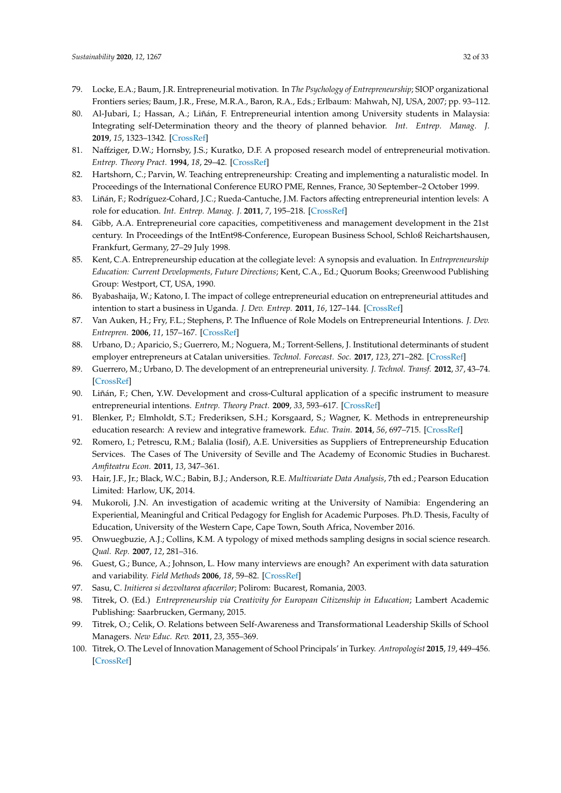- <span id="page-31-0"></span>79. Locke, E.A.; Baum, J.R. Entrepreneurial motivation. In *The Psychology of Entrepreneurship*; SIOP organizational Frontiers series; Baum, J.R., Frese, M.R.A., Baron, R.A., Eds.; Erlbaum: Mahwah, NJ, USA, 2007; pp. 93–112.
- <span id="page-31-1"></span>80. Al-Jubari, I.; Hassan, A.; Liñán, F. Entrepreneurial intention among University students in Malaysia: Integrating self-Determination theory and the theory of planned behavior. *Int. Entrep. Manag. J.* **2019**, *15*, 1323–1342. [\[CrossRef\]](http://dx.doi.org/10.1007/s11365-018-0529-0)
- <span id="page-31-2"></span>81. Naffziger, D.W.; Hornsby, J.S.; Kuratko, D.F. A proposed research model of entrepreneurial motivation. *Entrep. Theory Pract.* **1994**, *18*, 29–42. [\[CrossRef\]](http://dx.doi.org/10.1177/104225879401800303)
- <span id="page-31-3"></span>82. Hartshorn, C.; Parvin, W. Teaching entrepreneurship: Creating and implementing a naturalistic model. In Proceedings of the International Conference EURO PME, Rennes, France, 30 September–2 October 1999.
- <span id="page-31-4"></span>83. Liñán, F.; Rodríguez-Cohard, J.C.; Rueda-Cantuche, J.M. Factors affecting entrepreneurial intention levels: A role for education. *Int. Entrep. Manag. J.* **2011**, *7*, 195–218. [\[CrossRef\]](http://dx.doi.org/10.1007/s11365-010-0154-z)
- <span id="page-31-5"></span>84. Gibb, A.A. Entrepreneurial core capacities, competitiveness and management development in the 21st century. In Proceedings of the IntEnt98-Conference, European Business School, Schloß Reichartshausen, Frankfurt, Germany, 27–29 July 1998.
- <span id="page-31-6"></span>85. Kent, C.A. Entrepreneurship education at the collegiate level: A synopsis and evaluation. In *Entrepreneurship Education: Current Developments, Future Directions*; Kent, C.A., Ed.; Quorum Books; Greenwood Publishing Group: Westport, CT, USA, 1990.
- <span id="page-31-7"></span>86. Byabashaija, W.; Katono, I. The impact of college entrepreneurial education on entrepreneurial attitudes and intention to start a business in Uganda. *J. Dev. Entrep.* **2011**, *16*, 127–144. [\[CrossRef\]](http://dx.doi.org/10.1142/S1084946711001768)
- <span id="page-31-8"></span>87. Van Auken, H.; Fry, F.L.; Stephens, P. The Influence of Role Models on Entrepreneurial Intentions. *J. Dev. Entrepren.* **2006**, *11*, 157–167. [\[CrossRef\]](http://dx.doi.org/10.1142/S1084946706000349)
- <span id="page-31-9"></span>88. Urbano, D.; Aparicio, S.; Guerrero, M.; Noguera, M.; Torrent-Sellens, J. Institutional determinants of student employer entrepreneurs at Catalan universities. *Technol. Forecast. Soc.* **2017**, *123*, 271–282. [\[CrossRef\]](http://dx.doi.org/10.1016/j.techfore.2016.06.021)
- <span id="page-31-10"></span>89. Guerrero, M.; Urbano, D. The development of an entrepreneurial university. *J. Technol. Transf.* **2012**, *37*, 43–74. [\[CrossRef\]](http://dx.doi.org/10.1007/s10961-010-9171-x)
- <span id="page-31-11"></span>90. Liñán, F.; Chen, Y.W. Development and cross-Cultural application of a specific instrument to measure entrepreneurial intentions. *Entrep. Theory Pract.* **2009**, *33*, 593–617. [\[CrossRef\]](http://dx.doi.org/10.1111/j.1540-6520.2009.00318.x)
- <span id="page-31-12"></span>91. Blenker, P.; Elmholdt, S.T.; Frederiksen, S.H.; Korsgaard, S.; Wagner, K. Methods in entrepreneurship education research: A review and integrative framework. *Educ. Train.* **2014**, *56*, 697–715. [\[CrossRef\]](http://dx.doi.org/10.1108/ET-06-2014-0066)
- <span id="page-31-13"></span>92. Romero, I.; Petrescu, R.M.; Balalia (Iosif), A.E. Universities as Suppliers of Entrepreneurship Education Services. The Cases of The University of Seville and The Academy of Economic Studies in Bucharest. *Amfiteatru Econ.* **2011**, *13*, 347–361.
- <span id="page-31-14"></span>93. Hair, J.F., Jr.; Black, W.C.; Babin, B.J.; Anderson, R.E. *Multivariate Data Analysis*, 7th ed.; Pearson Education Limited: Harlow, UK, 2014.
- <span id="page-31-15"></span>94. Mukoroli, J.N. An investigation of academic writing at the University of Namibia: Engendering an Experiential, Meaningful and Critical Pedagogy for English for Academic Purposes. Ph.D. Thesis, Faculty of Education, University of the Western Cape, Cape Town, South Africa, November 2016.
- <span id="page-31-16"></span>95. Onwuegbuzie, A.J.; Collins, K.M. A typology of mixed methods sampling designs in social science research. *Qual. Rep.* **2007**, *12*, 281–316.
- <span id="page-31-17"></span>96. Guest, G.; Bunce, A.; Johnson, L. How many interviews are enough? An experiment with data saturation and variability. *Field Methods* **2006**, *18*, 59–82. [\[CrossRef\]](http://dx.doi.org/10.1177/1525822X05279903)
- <span id="page-31-18"></span>97. Sasu, C. *Initierea si dezvoltarea afacerilor*; Polirom: Bucarest, Romania, 2003.
- <span id="page-31-19"></span>98. Titrek, O. (Ed.) *Entrepreneurship via Creativity for European Citizenship in Education*; Lambert Academic Publishing: Saarbrucken, Germany, 2015.
- 99. Titrek, O.; Celik, O. Relations between Self-Awareness and Transformational Leadership Skills of School Managers. *New Educ. Rev.* **2011**, *23*, 355–369.
- <span id="page-31-20"></span>100. Titrek, O. The Level of Innovation Management of School Principals' in Turkey. *Antropologist* **2015**, *19*, 449–456. [\[CrossRef\]](http://dx.doi.org/10.1080/09720073.2015.11891679)